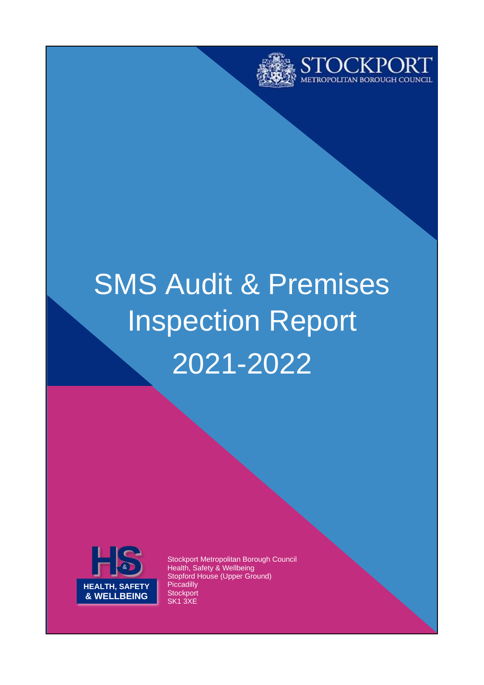



# SMS Audit & Premises Inspection Report 2021-2022



Stockport Metropolitan Borough Council Health, Safety & Wellbeing Stopford House (Upper Ground) **Piccadilly Stockport** SK1 3XE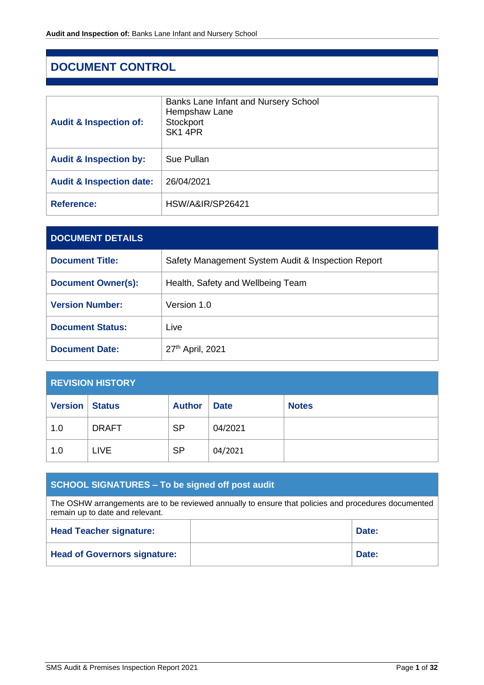# <span id="page-1-0"></span>**DOCUMENT CONTROL**

| <b>Audit &amp; Inspection of:</b>   | Banks Lane Infant and Nursery School<br>Hempshaw Lane<br>Stockport<br>SK1 4PR |
|-------------------------------------|-------------------------------------------------------------------------------|
| <b>Audit &amp; Inspection by:</b>   | Sue Pullan                                                                    |
| <b>Audit &amp; Inspection date:</b> | 26/04/2021                                                                    |
| <b>Reference:</b>                   | HSW/A&IR/SP26421                                                              |

| <b>DOCUMENT DETAILS</b>   |                                                    |
|---------------------------|----------------------------------------------------|
| <b>Document Title:</b>    | Safety Management System Audit & Inspection Report |
| <b>Document Owner(s):</b> | Health, Safety and Wellbeing Team                  |
| <b>Version Number:</b>    | Version 1.0                                        |
| <b>Document Status:</b>   | Live                                               |
| <b>Document Date:</b>     | 27th April, 2021                                   |

| <b>REVISION HISTORY</b> |               |               |             |              |
|-------------------------|---------------|---------------|-------------|--------------|
| <b>Version</b>          | <b>Status</b> | <b>Author</b> | <b>Date</b> | <b>Notes</b> |
| 1.0                     | <b>DRAFT</b>  | <b>SP</b>     | 04/2021     |              |
| 1.0                     | <b>LIVE</b>   | <b>SP</b>     | 04/2021     |              |

# **SCHOOL SIGNATURES – To be signed off post audit**

The OSHW arrangements are to be reviewed annually to ensure that policies and procedures documented remain up to date and relevant.

| <b>Head Teacher signature:</b>      | Date: |
|-------------------------------------|-------|
| <b>Head of Governors signature:</b> | Date: |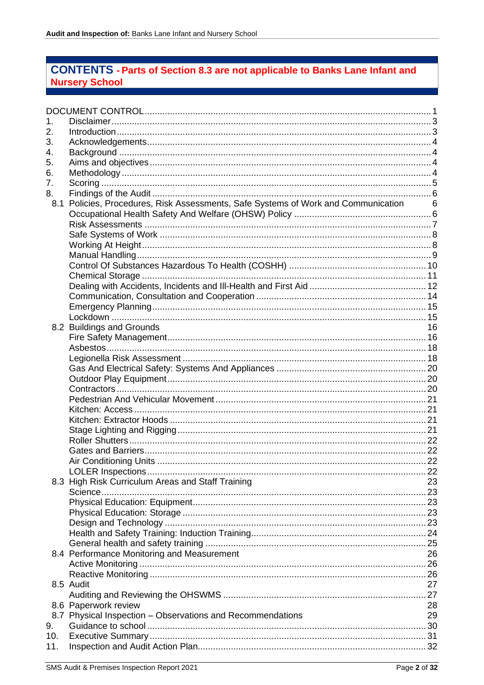# **CONTENTS - Parts of Section 8.3 are not applicable to Banks Lane Infant and Nursery School**

| 1.  |                                                                                  |    |
|-----|----------------------------------------------------------------------------------|----|
| 2.  |                                                                                  |    |
| 3.  |                                                                                  |    |
| 4.  |                                                                                  |    |
| 5.  |                                                                                  |    |
| 6.  |                                                                                  |    |
| 7.  |                                                                                  |    |
| 8.  |                                                                                  |    |
| 8.1 | Policies, Procedures, Risk Assessments, Safe Systems of Work and Communication 6 |    |
|     |                                                                                  |    |
|     |                                                                                  |    |
|     |                                                                                  |    |
|     |                                                                                  |    |
|     |                                                                                  |    |
|     |                                                                                  |    |
|     |                                                                                  |    |
|     |                                                                                  |    |
|     |                                                                                  |    |
|     |                                                                                  |    |
|     |                                                                                  |    |
|     | 8.2 Buildings and Grounds                                                        | 16 |
|     |                                                                                  |    |
|     |                                                                                  |    |
|     |                                                                                  |    |
|     |                                                                                  |    |
|     |                                                                                  |    |
|     |                                                                                  |    |
|     |                                                                                  |    |
|     |                                                                                  |    |
|     |                                                                                  |    |
|     |                                                                                  |    |
|     |                                                                                  |    |
|     |                                                                                  |    |
|     |                                                                                  |    |
|     |                                                                                  |    |
|     |                                                                                  |    |
|     | 8.3 High Risk Curriculum Areas and Staff Training                                | 23 |
|     |                                                                                  |    |
|     |                                                                                  |    |
|     |                                                                                  |    |
|     |                                                                                  |    |
|     |                                                                                  |    |
|     |                                                                                  |    |
|     | 8.4 Performance Monitoring and Measurement                                       | 26 |
|     |                                                                                  |    |
|     |                                                                                  |    |
|     | 8.5 Audit                                                                        | 27 |
|     |                                                                                  |    |
|     | 8.6 Paperwork review                                                             | 28 |
|     | 8.7 Physical Inspection - Observations and Recommendations                       | 29 |
| 9.  |                                                                                  |    |
| 10. |                                                                                  |    |
| 11. |                                                                                  |    |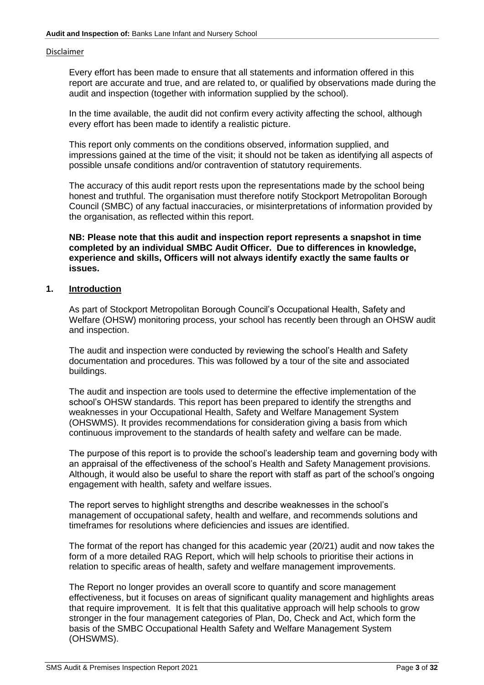#### <span id="page-3-0"></span>Disclaimer

Every effort has been made to ensure that all statements and information offered in this report are accurate and true, and are related to, or qualified by observations made during the audit and inspection (together with information supplied by the school).

In the time available, the audit did not confirm every activity affecting the school, although every effort has been made to identify a realistic picture.

This report only comments on the conditions observed, information supplied, and impressions gained at the time of the visit; it should not be taken as identifying all aspects of possible unsafe conditions and/or contravention of statutory requirements.

The accuracy of this audit report rests upon the representations made by the school being honest and truthful. The organisation must therefore notify Stockport Metropolitan Borough Council (SMBC) of any factual inaccuracies, or misinterpretations of information provided by the organisation, as reflected within this report.

**NB: Please note that this audit and inspection report represents a snapshot in time completed by an individual SMBC Audit Officer. Due to differences in knowledge, experience and skills, Officers will not always identify exactly the same faults or issues.**

## <span id="page-3-1"></span>**1. Introduction**

As part of Stockport Metropolitan Borough Council's Occupational Health, Safety and Welfare (OHSW) monitoring process, your school has recently been through an OHSW audit and inspection.

The audit and inspection were conducted by reviewing the school's Health and Safety documentation and procedures. This was followed by a tour of the site and associated buildings.

The audit and inspection are tools used to determine the effective implementation of the school's OHSW standards. This report has been prepared to identify the strengths and weaknesses in your Occupational Health, Safety and Welfare Management System (OHSWMS). It provides recommendations for consideration giving a basis from which continuous improvement to the standards of health safety and welfare can be made.

The purpose of this report is to provide the school's leadership team and governing body with an appraisal of the effectiveness of the school's Health and Safety Management provisions. Although, it would also be useful to share the report with staff as part of the school's ongoing engagement with health, safety and welfare issues.

The report serves to highlight strengths and describe weaknesses in the school's management of occupational safety, health and welfare, and recommends solutions and timeframes for resolutions where deficiencies and issues are identified.

The format of the report has changed for this academic year (20/21) audit and now takes the form of a more detailed RAG Report, which will help schools to prioritise their actions in relation to specific areas of health, safety and welfare management improvements.

The Report no longer provides an overall score to quantify and score management effectiveness, but it focuses on areas of significant quality management and highlights areas that require improvement. It is felt that this qualitative approach will help schools to grow stronger in the four management categories of Plan, Do, Check and Act, which form the basis of the SMBC Occupational Health Safety and Welfare Management System (OHSWMS).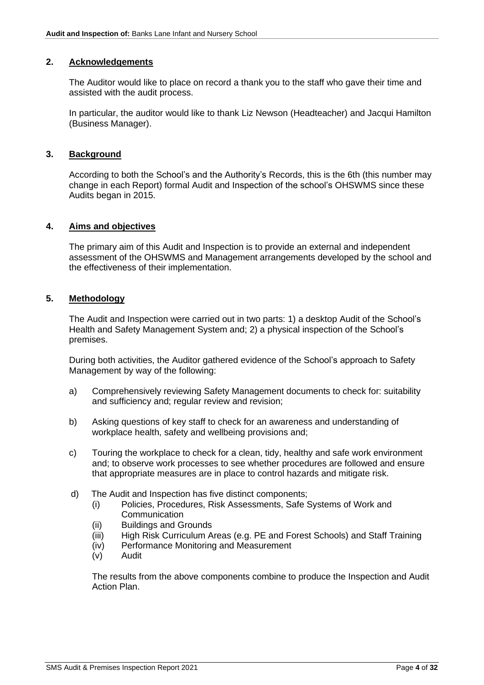#### <span id="page-4-0"></span>**2. Acknowledgements**

The Auditor would like to place on record a thank you to the staff who gave their time and assisted with the audit process.

In particular, the auditor would like to thank Liz Newson (Headteacher) and Jacqui Hamilton (Business Manager).

#### <span id="page-4-1"></span>**3. Background**

According to both the School's and the Authority's Records, this is the 6th (this number may change in each Report) formal Audit and Inspection of the school's OHSWMS since these Audits began in 2015.

#### <span id="page-4-2"></span>**4. Aims and objectives**

The primary aim of this Audit and Inspection is to provide an external and independent assessment of the OHSWMS and Management arrangements developed by the school and the effectiveness of their implementation.

## <span id="page-4-3"></span>**5. Methodology**

The Audit and Inspection were carried out in two parts: 1) a desktop Audit of the School's Health and Safety Management System and; 2) a physical inspection of the School's premises.

During both activities, the Auditor gathered evidence of the School's approach to Safety Management by way of the following:

- a) Comprehensively reviewing Safety Management documents to check for: suitability and sufficiency and; regular review and revision;
- b) Asking questions of key staff to check for an awareness and understanding of workplace health, safety and wellbeing provisions and;
- c) Touring the workplace to check for a clean, tidy, healthy and safe work environment and; to observe work processes to see whether procedures are followed and ensure that appropriate measures are in place to control hazards and mitigate risk.
- d) The Audit and Inspection has five distinct components;
	- (i) Policies, Procedures, Risk Assessments, Safe Systems of Work and **Communication**
	- (ii) Buildings and Grounds
	- (iii) High Risk Curriculum Areas (e.g. PE and Forest Schools) and Staff Training
	- (iv) Performance Monitoring and Measurement
	- (v) Audit

The results from the above components combine to produce the Inspection and Audit Action Plan.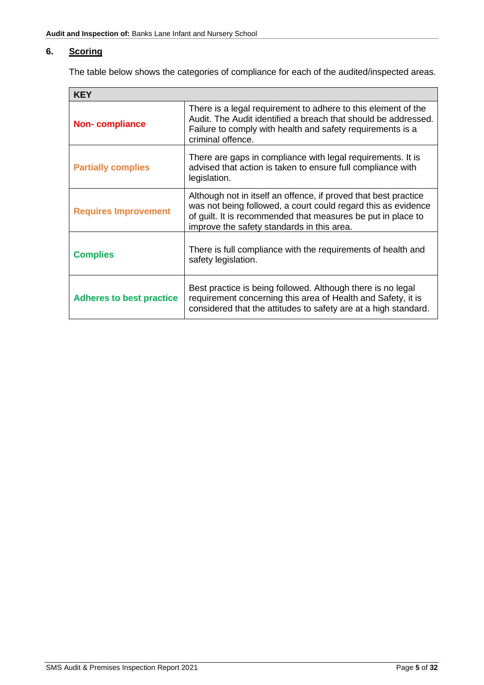# <span id="page-5-0"></span>**6. Scoring**

The table below shows the categories of compliance for each of the audited/inspected areas.

| <b>KEY</b>                      |                                                                                                                                                                                                                                                |  |  |
|---------------------------------|------------------------------------------------------------------------------------------------------------------------------------------------------------------------------------------------------------------------------------------------|--|--|
| <b>Non-compliance</b>           | There is a legal requirement to adhere to this element of the<br>Audit. The Audit identified a breach that should be addressed.<br>Failure to comply with health and safety requirements is a<br>criminal offence.                             |  |  |
| <b>Partially complies</b>       | There are gaps in compliance with legal requirements. It is<br>advised that action is taken to ensure full compliance with<br>legislation.                                                                                                     |  |  |
| <b>Requires Improvement</b>     | Although not in itself an offence, if proved that best practice<br>was not being followed, a court could regard this as evidence<br>of guilt. It is recommended that measures be put in place to<br>improve the safety standards in this area. |  |  |
| <b>Complies</b>                 | There is full compliance with the requirements of health and<br>safety legislation.                                                                                                                                                            |  |  |
| <b>Adheres to best practice</b> | Best practice is being followed. Although there is no legal<br>requirement concerning this area of Health and Safety, it is<br>considered that the attitudes to safety are at a high standard.                                                 |  |  |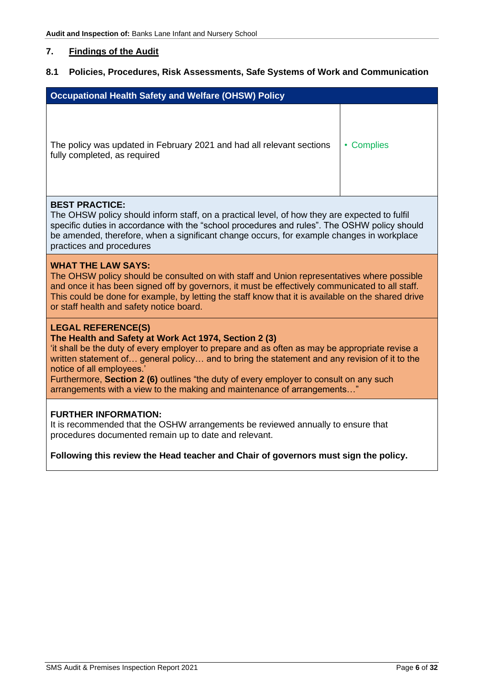# <span id="page-6-0"></span>**7. Findings of the Audit**

# <span id="page-6-1"></span>**8.1 Policies, Procedures, Risk Assessments, Safe Systems of Work and Communication**

<span id="page-6-2"></span>

| <b>Occupational Health Safety and Welfare (OHSW) Policy</b>                                                                                                                                                                                                                                                                                                                                                                                                                            |            |  |  |
|----------------------------------------------------------------------------------------------------------------------------------------------------------------------------------------------------------------------------------------------------------------------------------------------------------------------------------------------------------------------------------------------------------------------------------------------------------------------------------------|------------|--|--|
| The policy was updated in February 2021 and had all relevant sections<br>fully completed, as required                                                                                                                                                                                                                                                                                                                                                                                  | • Complies |  |  |
| <b>BEST PRACTICE:</b><br>The OHSW policy should inform staff, on a practical level, of how they are expected to fulfil<br>specific duties in accordance with the "school procedures and rules". The OSHW policy should<br>be amended, therefore, when a significant change occurs, for example changes in workplace<br>practices and procedures                                                                                                                                        |            |  |  |
| <b>WHAT THE LAW SAYS:</b><br>The OHSW policy should be consulted on with staff and Union representatives where possible<br>and once it has been signed off by governors, it must be effectively communicated to all staff.<br>This could be done for example, by letting the staff know that it is available on the shared drive<br>or staff health and safety notice board.                                                                                                           |            |  |  |
| <b>LEGAL REFERENCE(S)</b><br>The Health and Safety at Work Act 1974, Section 2 (3)<br>'it shall be the duty of every employer to prepare and as often as may be appropriate revise a<br>written statement of general policy and to bring the statement and any revision of it to the<br>notice of all employees.'<br>Furthermore, Section 2 (6) outlines "the duty of every employer to consult on any such<br>arrangements with a view to the making and maintenance of arrangements" |            |  |  |
| <b>FURTHER INFORMATION:</b><br>It is recommended that the OSHW arrangements be reviewed annually to ensure that<br>procedures documented remain up to date and relevant.<br>Following this review the Head teacher and Chair of governors must sign the policy.                                                                                                                                                                                                                        |            |  |  |
|                                                                                                                                                                                                                                                                                                                                                                                                                                                                                        |            |  |  |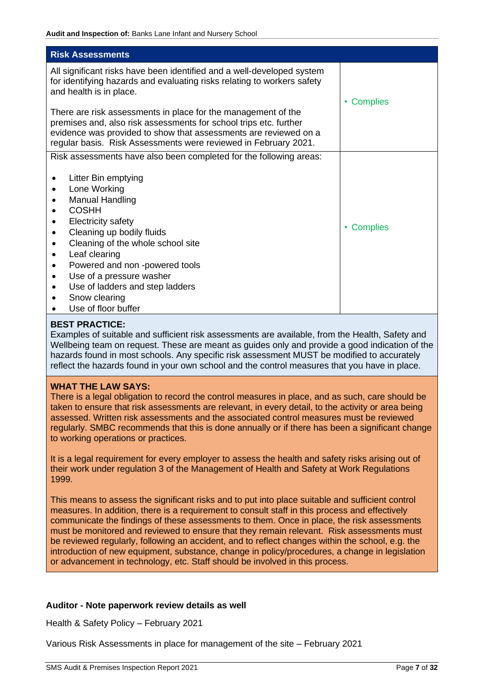<span id="page-7-0"></span>

| <b>Risk Assessments</b>                                                                                                                                                                                                                                                                                                                |                      |
|----------------------------------------------------------------------------------------------------------------------------------------------------------------------------------------------------------------------------------------------------------------------------------------------------------------------------------------|----------------------|
| All significant risks have been identified and a well-developed system<br>for identifying hazards and evaluating risks relating to workers safety<br>and health is in place.                                                                                                                                                           | <b>Complies</b><br>٠ |
| There are risk assessments in place for the management of the<br>premises and, also risk assessments for school trips etc. further<br>evidence was provided to show that assessments are reviewed on a<br>regular basis. Risk Assessments were reviewed in February 2021.                                                              |                      |
| Risk assessments have also been completed for the following areas:<br>Litter Bin emptying<br>Lone Working<br>٠<br>Manual Handling<br><b>COSHH</b><br><b>Electricity safety</b><br>٠<br>Cleaning up bodily fluids<br>٠<br>Cleaning of the whole school site<br>Leaf clearing<br>$\bullet$<br>Powered and non-powered tools<br>$\bullet$ | <b>Complies</b><br>٠ |
| Use of a pressure washer<br>$\bullet$<br>Use of ladders and step ladders<br>Snow clearing<br>Use of floor buffer                                                                                                                                                                                                                       |                      |

# **BEST PRACTICE:**

Examples of suitable and sufficient risk assessments are available, from the Health, Safety and Wellbeing team on request. These are meant as guides only and provide a good indication of the hazards found in most schools. Any specific risk assessment MUST be modified to accurately reflect the hazards found in your own school and the control measures that you have in place.

## **WHAT THE LAW SAYS:**

There is a legal obligation to record the control measures in place, and as such, care should be taken to ensure that risk assessments are relevant, in every detail, to the activity or area being assessed. Written risk assessments and the associated control measures must be reviewed regularly. SMBC recommends that this is done annually or if there has been a significant change to working operations or practices.

It is a legal requirement for every employer to assess the health and safety risks arising out of their work under regulation 3 of the Management of Health and Safety at Work Regulations 1999.

This means to assess the significant risks and to put into place suitable and sufficient control measures. In addition, there is a requirement to consult staff in this process and effectively communicate the findings of these assessments to them. Once in place, the risk assessments must be monitored and reviewed to ensure that they remain relevant. Risk assessments must be reviewed regularly, following an accident, and to reflect changes within the school, e.g. the introduction of new equipment, substance, change in policy/procedures, a change in legislation or advancement in technology, etc. Staff should be involved in this process.

## **Auditor - Note paperwork review details as well**

Health & Safety Policy – February 2021

Various Risk Assessments in place for management of the site – February 2021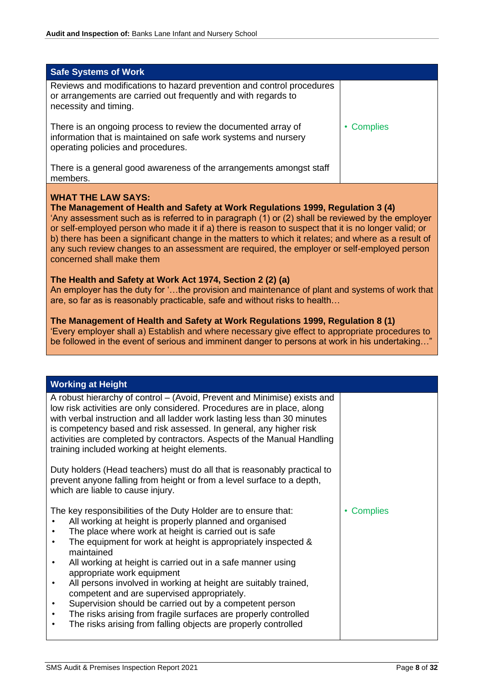<span id="page-8-0"></span>

| <b>Safe Systems of Work</b>                                                                                                                                            |            |
|------------------------------------------------------------------------------------------------------------------------------------------------------------------------|------------|
| Reviews and modifications to hazard prevention and control procedures<br>or arrangements are carried out frequently and with regards to<br>necessity and timing.       |            |
| There is an ongoing process to review the documented array of<br>information that is maintained on safe work systems and nursery<br>operating policies and procedures. | • Complies |
| There is a general good awareness of the arrangements amongst staff<br>members.                                                                                        |            |

# **WHAT THE LAW SAYS:**

**The Management of Health and Safety at Work Regulations 1999, Regulation 3 (4)**

'Any assessment such as is referred to in paragraph (1) or (2) shall be reviewed by the employer or self-employed person who made it if a) there is reason to suspect that it is no longer valid; or b) there has been a significant change in the matters to which it relates; and where as a result of any such review changes to an assessment are required, the employer or self-employed person concerned shall make them

#### **The Health and Safety at Work Act 1974, Section 2 (2) (a)**

An employer has the duty for '…the provision and maintenance of plant and systems of work that are, so far as is reasonably practicable, safe and without risks to health…

#### **The Management of Health and Safety at Work Regulations 1999, Regulation 8 (1)**

'Every employer shall a) Establish and where necessary give effect to appropriate procedures to be followed in the event of serious and imminent danger to persons at work in his undertaking…"

# <span id="page-8-1"></span>**Working at Height**

| A robust hierarchy of control - (Avoid, Prevent and Minimise) exists and<br>low risk activities are only considered. Procedures are in place, along<br>with verbal instruction and all ladder work lasting less than 30 minutes<br>is competency based and risk assessed. In general, any higher risk<br>activities are completed by contractors. Aspects of the Manual Handling<br>training included working at height elements.                                                                                                                                                                                                                                                           |                 |
|---------------------------------------------------------------------------------------------------------------------------------------------------------------------------------------------------------------------------------------------------------------------------------------------------------------------------------------------------------------------------------------------------------------------------------------------------------------------------------------------------------------------------------------------------------------------------------------------------------------------------------------------------------------------------------------------|-----------------|
| Duty holders (Head teachers) must do all that is reasonably practical to<br>prevent anyone falling from height or from a level surface to a depth,<br>which are liable to cause injury.                                                                                                                                                                                                                                                                                                                                                                                                                                                                                                     |                 |
| The key responsibilities of the Duty Holder are to ensure that:<br>All working at height is properly planned and organised<br>The place where work at height is carried out is safe<br>The equipment for work at height is appropriately inspected &<br>٠<br>maintained<br>All working at height is carried out in a safe manner using<br>appropriate work equipment<br>All persons involved in working at height are suitably trained,<br>٠<br>competent and are supervised appropriately.<br>Supervision should be carried out by a competent person<br>The risks arising from fragile surfaces are properly controlled<br>The risks arising from falling objects are properly controlled | <b>Complies</b> |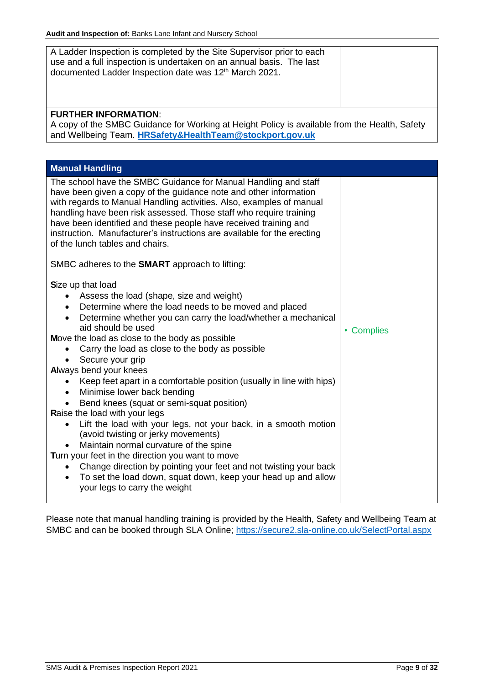<span id="page-9-0"></span>

| <b>Audit and inspection of:</b> Banks Lane Infant and Nursery School                                                                                                                                                                                                                                                                                                                                                                                                                                                                                                                                                                                                                                                                                                                                                                                                                                                                                                                                                                  |            |  |  |
|---------------------------------------------------------------------------------------------------------------------------------------------------------------------------------------------------------------------------------------------------------------------------------------------------------------------------------------------------------------------------------------------------------------------------------------------------------------------------------------------------------------------------------------------------------------------------------------------------------------------------------------------------------------------------------------------------------------------------------------------------------------------------------------------------------------------------------------------------------------------------------------------------------------------------------------------------------------------------------------------------------------------------------------|------------|--|--|
| A Ladder Inspection is completed by the Site Supervisor prior to each<br>use and a full inspection is undertaken on an annual basis. The last<br>documented Ladder Inspection date was 12 <sup>th</sup> March 2021.                                                                                                                                                                                                                                                                                                                                                                                                                                                                                                                                                                                                                                                                                                                                                                                                                   |            |  |  |
| <b>FURTHER INFORMATION:</b><br>A copy of the SMBC Guidance for Working at Height Policy is available from the Health, Safety<br>and Wellbeing Team. HRSafety&HealthTeam@stockport.gov.uk                                                                                                                                                                                                                                                                                                                                                                                                                                                                                                                                                                                                                                                                                                                                                                                                                                              |            |  |  |
| <b>Manual Handling</b>                                                                                                                                                                                                                                                                                                                                                                                                                                                                                                                                                                                                                                                                                                                                                                                                                                                                                                                                                                                                                |            |  |  |
| The school have the SMBC Guidance for Manual Handling and staff<br>have been given a copy of the guidance note and other information<br>with regards to Manual Handling activities. Also, examples of manual<br>handling have been risk assessed. Those staff who require training<br>have been identified and these people have received training and<br>instruction. Manufacturer's instructions are available for the erecting<br>of the lunch tables and chairs.                                                                                                                                                                                                                                                                                                                                                                                                                                                                                                                                                                  |            |  |  |
| SMBC adheres to the <b>SMART</b> approach to lifting:<br>Size up that load<br>Assess the load (shape, size and weight)<br>Determine where the load needs to be moved and placed<br>$\bullet$<br>Determine whether you can carry the load/whether a mechanical<br>$\bullet$<br>aid should be used<br>Move the load as close to the body as possible<br>Carry the load as close to the body as possible<br>Secure your grip<br>Always bend your knees<br>Keep feet apart in a comfortable position (usually in line with hips)<br>Minimise lower back bending<br>$\bullet$<br>Bend knees (squat or semi-squat position)<br>Raise the load with your legs<br>Lift the load with your legs, not your back, in a smooth motion<br>(avoid twisting or jerky movements)<br>Maintain normal curvature of the spine<br>Turn your feet in the direction you want to move<br>Change direction by pointing your feet and not twisting your back<br>To set the load down, squat down, keep your head up and allow<br>your legs to carry the weight | • Complies |  |  |

Please note that manual handling training is provided by the Health, Safety and Wellbeing Team at SMBC and can be booked through SLA Online;<https://secure2.sla-online.co.uk/SelectPortal.aspx>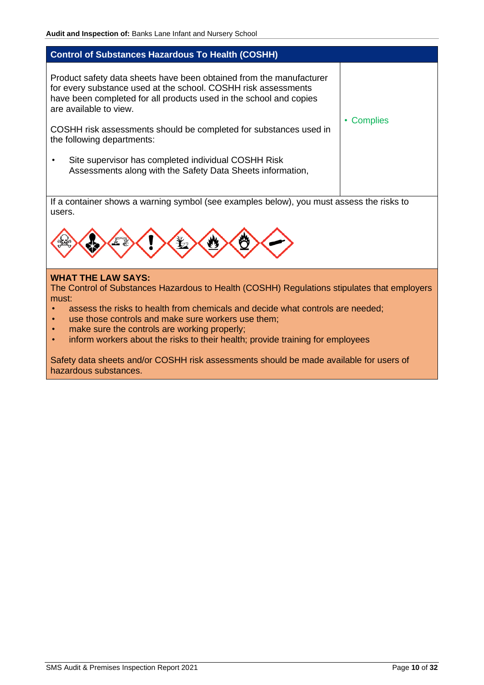# <span id="page-10-0"></span>**Control of Substances Hazardous To Health (COSHH)**  Product safety data sheets have been obtained from the manufacturer for every substance used at the school. COSHH risk assessments have been completed for all products used in the school and copies are available to view. COSHH risk assessments should be completed for substances used in the following departments: • Site supervisor has completed individual COSHH Risk Assessments along with the Safety Data Sheets information, • Complies If a container shows a warning symbol (see examples below), you must assess the risks to users.



#### **WHAT THE LAW SAYS:**

The Control of Substances Hazardous to Health (COSHH) Regulations stipulates that employers must:

- assess the risks to health from chemicals and decide what controls are needed;
- use those controls and make sure workers use them;
- make sure the controls are working properly;
- inform workers about the risks to their health; provide training for employees

Safety data sheets and/or COSHH risk assessments should be made available for users of hazardous substances.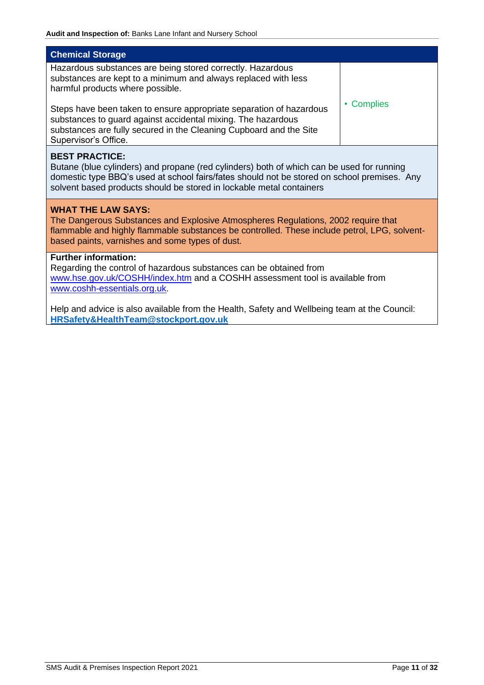<span id="page-11-0"></span>

| <b>Chemical Storage</b>                                                                                                                                                                                                                                                                   |            |  |  |
|-------------------------------------------------------------------------------------------------------------------------------------------------------------------------------------------------------------------------------------------------------------------------------------------|------------|--|--|
| Hazardous substances are being stored correctly. Hazardous<br>substances are kept to a minimum and always replaced with less<br>harmful products where possible.                                                                                                                          | • Complies |  |  |
| Steps have been taken to ensure appropriate separation of hazardous<br>substances to guard against accidental mixing. The hazardous<br>substances are fully secured in the Cleaning Cupboard and the Site<br>Supervisor's Office.                                                         |            |  |  |
| <b>BEST PRACTICE:</b><br>Butane (blue cylinders) and propane (red cylinders) both of which can be used for running<br>domestic type BBQ's used at school fairs/fates should not be stored on school premises. Any<br>solvent based products should be stored in lockable metal containers |            |  |  |
| <b>WHAT THE LAW SAYS:</b><br>The Dangerous Substances and Explosive Atmospheres Regulations, 2002 require that<br>flammable and highly flammable substances be controlled. These include petrol, LPG, solvent-<br>based paints, varnishes and some types of dust.                         |            |  |  |
| <b>Further information:</b><br>Regarding the control of hazardous substances can be obtained from<br>www.hse.gov.uk/COSHH/index.htm and a COSHH assessment tool is available from<br>www.coshh-essentials.org.uk.                                                                         |            |  |  |
| Help and advice is also available from the Health, Safety and Wellbeing team at the Council:<br>HRSafety&HealthTeam@stockport.gov.uk                                                                                                                                                      |            |  |  |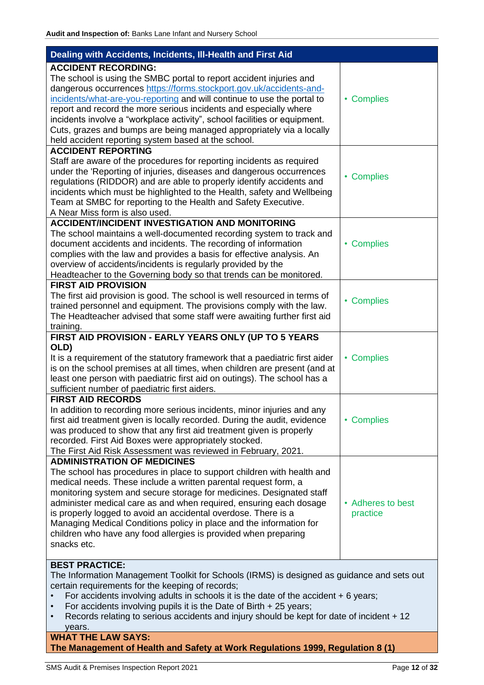<span id="page-12-0"></span>

| Dealing with Accidents, Incidents, III-Health and First Aid                                                                                                                                                                                                                                                                                                                                                                                                                                                                                              |                               |
|----------------------------------------------------------------------------------------------------------------------------------------------------------------------------------------------------------------------------------------------------------------------------------------------------------------------------------------------------------------------------------------------------------------------------------------------------------------------------------------------------------------------------------------------------------|-------------------------------|
| <b>ACCIDENT RECORDING:</b><br>The school is using the SMBC portal to report accident injuries and<br>dangerous occurrences https://forms.stockport.gov.uk/accidents-and-<br>incidents/what-are-you-reporting and will continue to use the portal to<br>report and record the more serious incidents and especially where<br>incidents involve a "workplace activity", school facilities or equipment.<br>Cuts, grazes and bumps are being managed appropriately via a locally<br>held accident reporting system based at the school.                     | • Complies                    |
| <b>ACCIDENT REPORTING</b><br>Staff are aware of the procedures for reporting incidents as required<br>under the 'Reporting of injuries, diseases and dangerous occurrences<br>regulations (RIDDOR) and are able to properly identify accidents and<br>incidents which must be highlighted to the Health, safety and Wellbeing<br>Team at SMBC for reporting to the Health and Safety Executive.<br>A Near Miss form is also used.                                                                                                                        | • Complies                    |
| <b>ACCIDENT/INCIDENT INVESTIGATION AND MONITORING</b><br>The school maintains a well-documented recording system to track and<br>document accidents and incidents. The recording of information<br>complies with the law and provides a basis for effective analysis. An<br>overview of accidents/incidents is regularly provided by the<br>Headteacher to the Governing body so that trends can be monitored.                                                                                                                                           | • Complies                    |
| <b>FIRST AID PROVISION</b><br>The first aid provision is good. The school is well resourced in terms of<br>trained personnel and equipment. The provisions comply with the law.<br>The Headteacher advised that some staff were awaiting further first aid<br>training.                                                                                                                                                                                                                                                                                  | • Complies                    |
| FIRST AID PROVISION - EARLY YEARS ONLY (UP TO 5 YEARS<br>OLD)<br>It is a requirement of the statutory framework that a paediatric first aider<br>is on the school premises at all times, when children are present (and at<br>least one person with paediatric first aid on outings). The school has a<br>sufficient number of paediatric first aiders.                                                                                                                                                                                                  | • Complies                    |
| <b>FIRST AID RECORDS</b><br>In addition to recording more serious incidents, minor injuries and any<br>first aid treatment given is locally recorded. During the audit, evidence<br>was produced to show that any first aid treatment given is properly<br>recorded. First Aid Boxes were appropriately stocked.<br>The First Aid Risk Assessment was reviewed in February, 2021.                                                                                                                                                                        | • Complies                    |
| <b>ADMINISTRATION OF MEDICINES</b><br>The school has procedures in place to support children with health and<br>medical needs. These include a written parental request form, a<br>monitoring system and secure storage for medicines. Designated staff<br>administer medical care as and when required, ensuring each dosage<br>is properly logged to avoid an accidental overdose. There is a<br>Managing Medical Conditions policy in place and the information for<br>children who have any food allergies is provided when preparing<br>snacks etc. | • Adheres to best<br>practice |
| <b>BEST PRACTICE:</b><br>The Information Management Toolkit for Schools (IRMS) is designed as guidance and sets out<br>certain requirements for the keeping of records;<br>For accidents involving adults in schools it is the date of the accident + 6 years;<br>For accidents involving pupils it is the Date of Birth $+25$ years;<br>Records relating to serious accidents and injury should be kept for date of incident + 12<br>VAARS                                                                                                              |                               |

#### years. **WHAT THE LAW SAYS: The Management of Health and Safety at Work Regulations 1999, Regulation 8 (1)**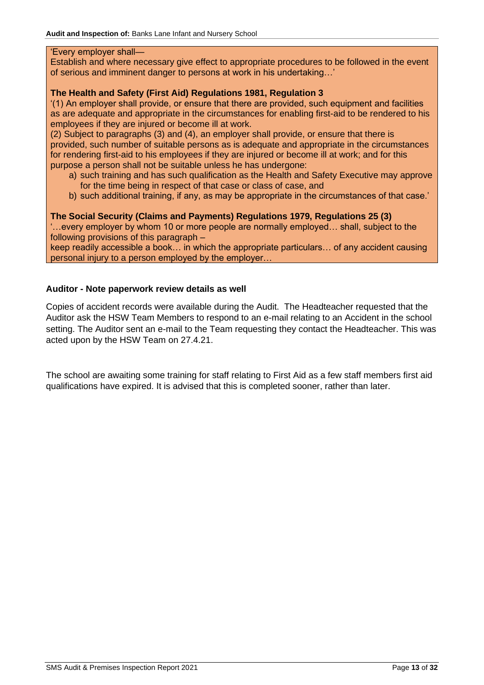#### 'Every employer shall—

Establish and where necessary give effect to appropriate procedures to be followed in the event of serious and imminent danger to persons at work in his undertaking…'

# **The Health and Safety (First Aid) Regulations 1981, Regulation 3**

'(1) An employer shall provide, or ensure that there are provided, such equipment and facilities as are adequate and appropriate in the circumstances for enabling first-aid to be rendered to his employees if they are injured or become ill at work.

(2) Subject to paragraphs (3) and (4), an employer shall provide, or ensure that there is provided, such number of suitable persons as is adequate and appropriate in the circumstances for rendering first-aid to his employees if they are injured or become ill at work; and for this purpose a person shall not be suitable unless he has undergone:

- a) such training and has such qualification as the Health and Safety Executive may approve for the time being in respect of that case or class of case, and
- b) such additional training, if any, as may be appropriate in the circumstances of that case.'

# **The Social Security (Claims and Payments) Regulations 1979, Regulations 25 (3)**

'…every employer by whom 10 or more people are normally employed… shall, subject to the following provisions of this paragraph –

keep readily accessible a book… in which the appropriate particulars… of any accident causing personal injury to a person employed by the employer…

# **Auditor - Note paperwork review details as well**

Copies of accident records were available during the Audit. The Headteacher requested that the Auditor ask the HSW Team Members to respond to an e-mail relating to an Accident in the school setting. The Auditor sent an e-mail to the Team requesting they contact the Headteacher. This was acted upon by the HSW Team on 27.4.21.

The school are awaiting some training for staff relating to First Aid as a few staff members first aid qualifications have expired. It is advised that this is completed sooner, rather than later.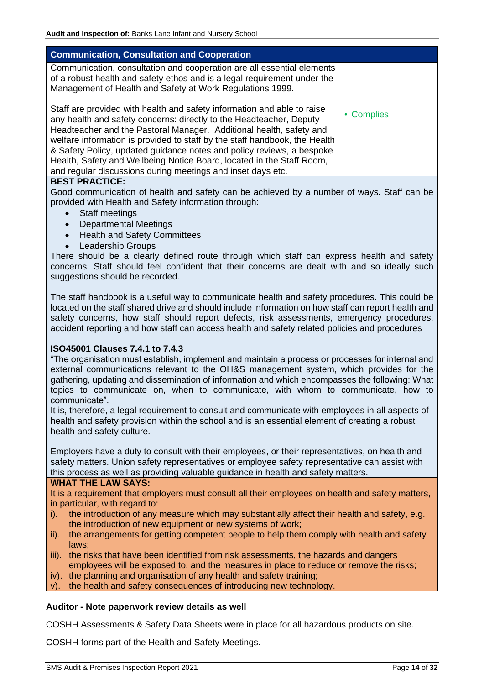<span id="page-14-0"></span>

| <b>Communication, Consultation and Cooperation</b>                                                                                                                                                                                                                                                                                                                                                                                                                                                                   |            |
|----------------------------------------------------------------------------------------------------------------------------------------------------------------------------------------------------------------------------------------------------------------------------------------------------------------------------------------------------------------------------------------------------------------------------------------------------------------------------------------------------------------------|------------|
| Communication, consultation and cooperation are all essential elements<br>of a robust health and safety ethos and is a legal requirement under the<br>Management of Health and Safety at Work Regulations 1999.                                                                                                                                                                                                                                                                                                      |            |
| Staff are provided with health and safety information and able to raise<br>any health and safety concerns: directly to the Headteacher, Deputy<br>Headteacher and the Pastoral Manager. Additional health, safety and<br>welfare information is provided to staff by the staff handbook, the Health<br>& Safety Policy, updated guidance notes and policy reviews, a bespoke<br>Health, Safety and Wellbeing Notice Board, located in the Staff Room,<br>and regular discussions during meetings and inset days etc. | • Complies |

## **BEST PRACTICE:**

Good communication of health and safety can be achieved by a number of ways. Staff can be provided with Health and Safety information through:

- Staff meetings
- Departmental Meetings
- Health and Safety Committees
- Leadership Groups

There should be a clearly defined route through which staff can express health and safety concerns. Staff should feel confident that their concerns are dealt with and so ideally such suggestions should be recorded.

The staff handbook is a useful way to communicate health and safety procedures. This could be located on the staff shared drive and should include information on how staff can report health and safety concerns, how staff should report defects, risk assessments, emergency procedures, accident reporting and how staff can access health and safety related policies and procedures

#### **ISO45001 Clauses 7.4.1 to 7.4.3**

"The organisation must establish, implement and maintain a process or processes for internal and external communications relevant to the OH&S management system, which provides for the gathering, updating and dissemination of information and which encompasses the following: What topics to communicate on, when to communicate, with whom to communicate, how to communicate".

It is, therefore, a legal requirement to consult and communicate with employees in all aspects of health and safety provision within the school and is an essential element of creating a robust health and safety culture.

Employers have a duty to consult with their employees, or their representatives, on health and safety matters. Union safety representatives or employee safety representative can assist with this process as well as providing valuable guidance in health and safety matters.

#### **WHAT THE LAW SAYS:**

It is a requirement that employers must consult all their employees on health and safety matters, in particular, with regard to:

- i). the introduction of any measure which may substantially affect their health and safety, e.g. the introduction of new equipment or new systems of work;
- ii). the arrangements for getting competent people to help them comply with health and safety laws;
- iii). the risks that have been identified from risk assessments, the hazards and dangers employees will be exposed to, and the measures in place to reduce or remove the risks;
- iv). the planning and organisation of any health and safety training;
- v). the health and safety consequences of introducing new technology.

## **Auditor - Note paperwork review details as well**

COSHH Assessments & Safety Data Sheets were in place for all hazardous products on site.

COSHH forms part of the Health and Safety Meetings.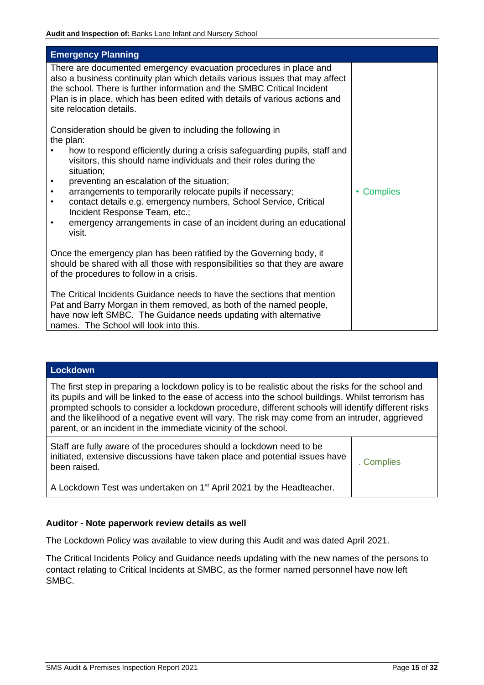<span id="page-15-0"></span>

| <b>Emergency Planning</b>                                                                                                                                                                                                                                                                                                               |                      |
|-----------------------------------------------------------------------------------------------------------------------------------------------------------------------------------------------------------------------------------------------------------------------------------------------------------------------------------------|----------------------|
| There are documented emergency evacuation procedures in place and<br>also a business continuity plan which details various issues that may affect<br>the school. There is further information and the SMBC Critical Incident<br>Plan is in place, which has been edited with details of various actions and<br>site relocation details. |                      |
| Consideration should be given to including the following in<br>the plan:                                                                                                                                                                                                                                                                |                      |
| how to respond efficiently during a crisis safeguarding pupils, staff and<br>visitors, this should name individuals and their roles during the<br>situation;                                                                                                                                                                            |                      |
| preventing an escalation of the situation;                                                                                                                                                                                                                                                                                              |                      |
| arrangements to temporarily relocate pupils if necessary;<br>$\bullet$<br>contact details e.g. emergency numbers, School Service, Critical<br>$\bullet$                                                                                                                                                                                 | <b>Complies</b><br>۰ |
| Incident Response Team, etc.;<br>emergency arrangements in case of an incident during an educational                                                                                                                                                                                                                                    |                      |
| visit.                                                                                                                                                                                                                                                                                                                                  |                      |
| Once the emergency plan has been ratified by the Governing body, it<br>should be shared with all those with responsibilities so that they are aware<br>of the procedures to follow in a crisis.                                                                                                                                         |                      |
| The Critical Incidents Guidance needs to have the sections that mention<br>Pat and Barry Morgan in them removed, as both of the named people,<br>have now left SMBC. The Guidance needs updating with alternative<br>names. The School will look into this.                                                                             |                      |

#### <span id="page-15-1"></span>**Lockdown**

The first step in preparing a lockdown policy is to be realistic about the risks for the school and its pupils and will be linked to the ease of access into the school buildings. Whilst terrorism has prompted schools to consider a lockdown procedure, different schools will identify different risks and the likelihood of a negative event will vary. The risk may come from an intruder, aggrieved parent, or an incident in the immediate vicinity of the school.

| Staff are fully aware of the procedures should a lockdown need to be<br>initiated, extensive discussions have taken place and potential issues have<br>been raised. | . Complies |
|---------------------------------------------------------------------------------------------------------------------------------------------------------------------|------------|
| A Lockdown Test was undertaken on 1 <sup>st</sup> April 2021 by the Headteacher.                                                                                    |            |

## **Auditor - Note paperwork review details as well**

The Lockdown Policy was available to view during this Audit and was dated April 2021.

The Critical Incidents Policy and Guidance needs updating with the new names of the persons to contact relating to Critical Incidents at SMBC, as the former named personnel have now left SMBC.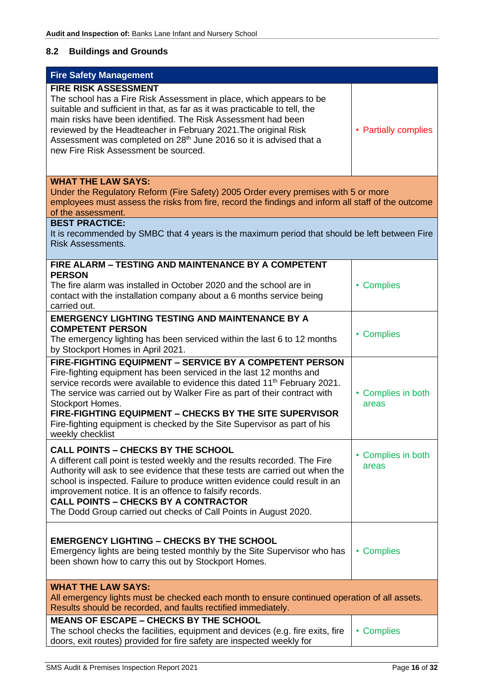# <span id="page-16-0"></span>**8.2 Buildings and Grounds**

<span id="page-16-1"></span>

| <b>Fire Safety Management</b>                                                                                                                                                                                                                                                                                                                                                                                                                                                       |                              |
|-------------------------------------------------------------------------------------------------------------------------------------------------------------------------------------------------------------------------------------------------------------------------------------------------------------------------------------------------------------------------------------------------------------------------------------------------------------------------------------|------------------------------|
| <b>FIRE RISK ASSESSMENT</b><br>The school has a Fire Risk Assessment in place, which appears to be<br>suitable and sufficient in that, as far as it was practicable to tell, the<br>main risks have been identified. The Risk Assessment had been<br>reviewed by the Headteacher in February 2021. The original Risk<br>Assessment was completed on 28 <sup>th</sup> June 2016 so it is advised that a<br>new Fire Risk Assessment be sourced.                                      | • Partially complies         |
| <b>WHAT THE LAW SAYS:</b><br>Under the Regulatory Reform (Fire Safety) 2005 Order every premises with 5 or more<br>employees must assess the risks from fire, record the findings and inform all staff of the outcome<br>of the assessment.                                                                                                                                                                                                                                         |                              |
| <b>BEST PRACTICE:</b><br>It is recommended by SMBC that 4 years is the maximum period that should be left between Fire<br><b>Risk Assessments.</b>                                                                                                                                                                                                                                                                                                                                  |                              |
| FIRE ALARM - TESTING AND MAINTENANCE BY A COMPETENT<br><b>PERSON</b><br>The fire alarm was installed in October 2020 and the school are in<br>contact with the installation company about a 6 months service being<br>carried out.                                                                                                                                                                                                                                                  | • Complies                   |
| <b>EMERGENCY LIGHTING TESTING AND MAINTENANCE BY A</b><br><b>COMPETENT PERSON</b><br>The emergency lighting has been serviced within the last 6 to 12 months<br>by Stockport Homes in April 2021.                                                                                                                                                                                                                                                                                   | • Complies                   |
| FIRE-FIGHTING EQUIPMENT - SERVICE BY A COMPETENT PERSON<br>Fire-fighting equipment has been serviced in the last 12 months and<br>service records were available to evidence this dated 11 <sup>th</sup> February 2021.<br>The service was carried out by Walker Fire as part of their contract with<br>Stockport Homes.<br>FIRE-FIGHTING EQUIPMENT - CHECKS BY THE SITE SUPERVISOR<br>Fire-fighting equipment is checked by the Site Supervisor as part of his<br>weekly checklist | • Complies in both<br>areas  |
| <b>CALL POINTS - CHECKS BY THE SCHOOL</b><br>A different call point is tested weekly and the results recorded. The Fire<br>Authority will ask to see evidence that these tests are carried out when the<br>school is inspected. Failure to produce written evidence could result in an<br>improvement notice. It is an offence to falsify records.<br><b>CALL POINTS - CHECKS BY A CONTRACTOR</b><br>The Dodd Group carried out checks of Call Points in August 2020.               | • Complies in both<br>areas  |
| <b>EMERGENCY LIGHTING - CHECKS BY THE SCHOOL</b><br>Emergency lights are being tested monthly by the Site Supervisor who has<br>been shown how to carry this out by Stockport Homes.                                                                                                                                                                                                                                                                                                | <b>Complies</b><br>$\bullet$ |
| <b>WHAT THE LAW SAYS:</b><br>All emergency lights must be checked each month to ensure continued operation of all assets.<br>Results should be recorded, and faults rectified immediately.                                                                                                                                                                                                                                                                                          |                              |
| <b>MEANS OF ESCAPE - CHECKS BY THE SCHOOL</b><br>The school checks the facilities, equipment and devices (e.g. fire exits, fire<br>doors, exit routes) provided for fire safety are inspected weekly for                                                                                                                                                                                                                                                                            | <b>Complies</b><br>٠         |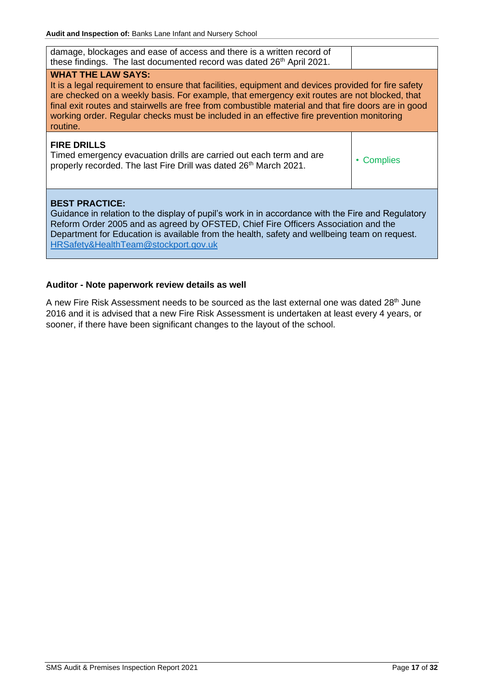| damage, blockages and ease of access and there is a written record of<br>these findings. The last documented record was dated 26th April 2021.                                                                                                                                                                                                                                                                                                   |                      |
|--------------------------------------------------------------------------------------------------------------------------------------------------------------------------------------------------------------------------------------------------------------------------------------------------------------------------------------------------------------------------------------------------------------------------------------------------|----------------------|
| <b>WHAT THE LAW SAYS:</b><br>It is a legal requirement to ensure that facilities, equipment and devices provided for fire safety<br>are checked on a weekly basis. For example, that emergency exit routes are not blocked, that<br>final exit routes and stairwells are free from combustible material and that fire doors are in good<br>working order. Regular checks must be included in an effective fire prevention monitoring<br>routine. |                      |
| <b>FIRE DRILLS</b><br>Timed emergency evacuation drills are carried out each term and are<br>properly recorded. The last Fire Drill was dated 26 <sup>th</sup> March 2021.                                                                                                                                                                                                                                                                       | <b>Complies</b><br>۰ |
| <b>BEST PRACTICE:</b><br>Guidance in relation to the display of pupil's work in in accordance with the Fire and Regulatory<br>Reform Order 2005 and as agreed by OFSTED, Chief Fire Officers Association and the<br>Department for Education is available from the health, safety and wellbeing team on request.<br>HRSafety&HealthTeam@stockport.gov.uk                                                                                         |                      |

# **Auditor - Note paperwork review details as well**

A new Fire Risk Assessment needs to be sourced as the last external one was dated 28<sup>th</sup> June 2016 and it is advised that a new Fire Risk Assessment is undertaken at least every 4 years, or sooner, if there have been significant changes to the layout of the school.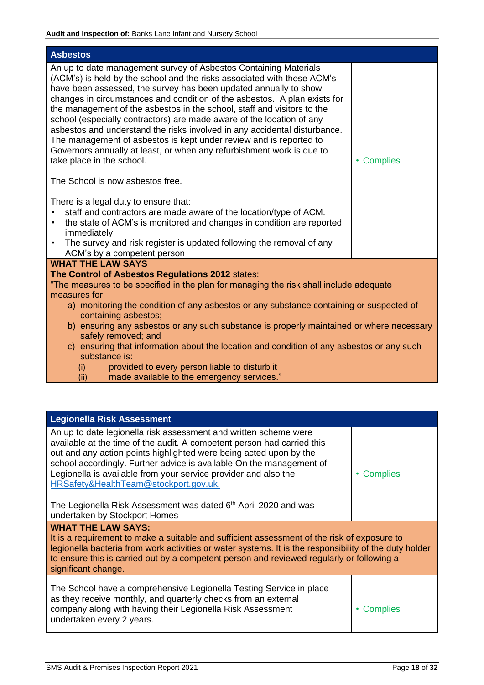<span id="page-18-0"></span>

| <b>Asbestos</b>                                                                                                                                                                                                                                                                                                                                                                                                                                                                                                                                                                                                                                                                                                                                                                                                                                             |            |
|-------------------------------------------------------------------------------------------------------------------------------------------------------------------------------------------------------------------------------------------------------------------------------------------------------------------------------------------------------------------------------------------------------------------------------------------------------------------------------------------------------------------------------------------------------------------------------------------------------------------------------------------------------------------------------------------------------------------------------------------------------------------------------------------------------------------------------------------------------------|------------|
| An up to date management survey of Asbestos Containing Materials<br>(ACM's) is held by the school and the risks associated with these ACM's<br>have been assessed, the survey has been updated annually to show<br>changes in circumstances and condition of the asbestos. A plan exists for<br>the management of the asbestos in the school, staff and visitors to the<br>school (especially contractors) are made aware of the location of any<br>asbestos and understand the risks involved in any accidental disturbance.<br>The management of asbestos is kept under review and is reported to<br>Governors annually at least, or when any refurbishment work is due to<br>take place in the school.<br>The School is now asbestos free.<br>There is a legal duty to ensure that:<br>staff and contractors are made aware of the location/type of ACM. | • Complies |
| the state of ACM's is monitored and changes in condition are reported<br>$\bullet$<br>immediately                                                                                                                                                                                                                                                                                                                                                                                                                                                                                                                                                                                                                                                                                                                                                           |            |
| The survey and risk register is updated following the removal of any<br>$\bullet$<br>ACM's by a competent person                                                                                                                                                                                                                                                                                                                                                                                                                                                                                                                                                                                                                                                                                                                                            |            |
| <b>WHAT THE LAW SAYS</b>                                                                                                                                                                                                                                                                                                                                                                                                                                                                                                                                                                                                                                                                                                                                                                                                                                    |            |
| The Control of Asbestos Regulations 2012 states:<br>"The measures to be specified in the plan for managing the risk shall include adequate                                                                                                                                                                                                                                                                                                                                                                                                                                                                                                                                                                                                                                                                                                                  |            |
| measures for                                                                                                                                                                                                                                                                                                                                                                                                                                                                                                                                                                                                                                                                                                                                                                                                                                                |            |
| a) monitoring the condition of any asbestos or any substance containing or suspected of<br>containing asbestos;                                                                                                                                                                                                                                                                                                                                                                                                                                                                                                                                                                                                                                                                                                                                             |            |
| b) ensuring any asbestos or any such substance is properly maintained or where necessary<br>safely removed; and                                                                                                                                                                                                                                                                                                                                                                                                                                                                                                                                                                                                                                                                                                                                             |            |
| c) ensuring that information about the location and condition of any asbestos or any such<br>substance is:                                                                                                                                                                                                                                                                                                                                                                                                                                                                                                                                                                                                                                                                                                                                                  |            |
| provided to every person liable to disturb it<br>(i)                                                                                                                                                                                                                                                                                                                                                                                                                                                                                                                                                                                                                                                                                                                                                                                                        |            |
| made available to the emergency services."<br>(ii)                                                                                                                                                                                                                                                                                                                                                                                                                                                                                                                                                                                                                                                                                                                                                                                                          |            |

<span id="page-18-1"></span>

| <b>Legionella Risk Assessment</b>                                                                                                                                                                                                                                                                                                                                                                     |                 |  |
|-------------------------------------------------------------------------------------------------------------------------------------------------------------------------------------------------------------------------------------------------------------------------------------------------------------------------------------------------------------------------------------------------------|-----------------|--|
| An up to date legionella risk assessment and written scheme were<br>available at the time of the audit. A competent person had carried this<br>out and any action points highlighted were being acted upon by the<br>school accordingly. Further advice is available On the management of<br>Legionella is available from your service provider and also the<br>HRSafety&HealthTeam@stockport.gov.uk. | <b>Complies</b> |  |
| The Legionella Risk Assessment was dated 6 <sup>th</sup> April 2020 and was<br>undertaken by Stockport Homes                                                                                                                                                                                                                                                                                          |                 |  |
| <b>WHAT THE LAW SAYS:</b><br>It is a requirement to make a suitable and sufficient assessment of the risk of exposure to<br>legionella bacteria from work activities or water systems. It is the responsibility of the duty holder<br>to ensure this is carried out by a competent person and reviewed regularly or following a<br>significant change.                                                |                 |  |
| The School have a comprehensive Legionella Testing Service in place<br>as they receive monthly, and quarterly checks from an external<br>company along with having their Legionella Risk Assessment<br>undertaken every 2 years.                                                                                                                                                                      | <b>Complies</b> |  |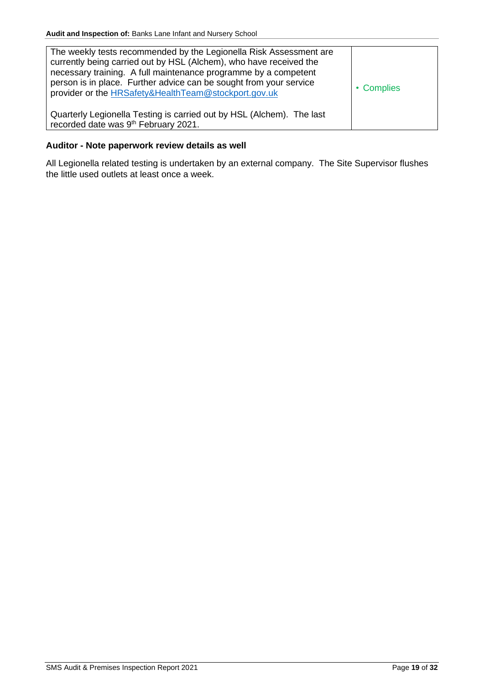| The weekly tests recommended by the Legionella Risk Assessment are<br>currently being carried out by HSL (Alchem), who have received the<br>necessary training. A full maintenance programme by a competent<br>person is in place. Further advice can be sought from your service<br>provider or the HRSafety&HealthTeam@stockport.gov.uk | • Complies |
|-------------------------------------------------------------------------------------------------------------------------------------------------------------------------------------------------------------------------------------------------------------------------------------------------------------------------------------------|------------|
| Quarterly Legionella Testing is carried out by HSL (Alchem). The last<br>recorded date was 9 <sup>th</sup> February 2021.                                                                                                                                                                                                                 |            |

# **Auditor - Note paperwork review details as well**

All Legionella related testing is undertaken by an external company. The Site Supervisor flushes the little used outlets at least once a week.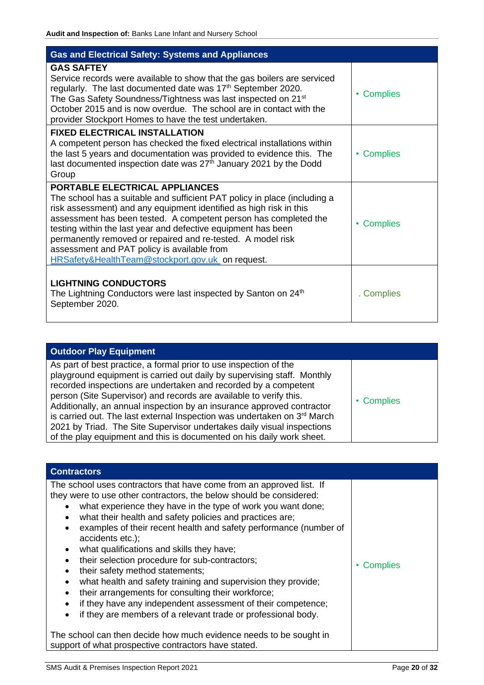<span id="page-20-0"></span>

| <b>Gas and Electrical Safety: Systems and Appliances</b>                                                                                                                                                                                                                                                                                                                                                                                                                                 |                              |
|------------------------------------------------------------------------------------------------------------------------------------------------------------------------------------------------------------------------------------------------------------------------------------------------------------------------------------------------------------------------------------------------------------------------------------------------------------------------------------------|------------------------------|
| <b>GAS SAFTEY</b><br>Service records were available to show that the gas boilers are serviced<br>regularly. The last documented date was 17 <sup>th</sup> September 2020.<br>The Gas Safety Soundness/Tightness was last inspected on 21 <sup>st</sup><br>October 2015 and is now overdue. The school are in contact with the<br>provider Stockport Homes to have the test undertaken.                                                                                                   | <b>Complies</b><br>٠         |
| <b>FIXED ELECTRICAL INSTALLATION</b><br>A competent person has checked the fixed electrical installations within<br>the last 5 years and documentation was provided to evidence this. The<br>last documented inspection date was $27th$ January 2021 by the Dodd<br>Group                                                                                                                                                                                                                | <b>Complies</b><br>$\bullet$ |
| PORTABLE ELECTRICAL APPLIANCES<br>The school has a suitable and sufficient PAT policy in place (including a<br>risk assessment) and any equipment identified as high risk in this<br>assessment has been tested. A competent person has completed the<br>testing within the last year and defective equipment has been<br>permanently removed or repaired and re-tested. A model risk<br>assessment and PAT policy is available from<br>HRSafety&HealthTeam@stockport.gov.uk on request. | <b>Complies</b><br>٠         |
| <b>LIGHTNING CONDUCTORS</b><br>The Lightning Conductors were last inspected by Santon on 24 <sup>th</sup><br>September 2020.                                                                                                                                                                                                                                                                                                                                                             | . Complies                   |

<span id="page-20-1"></span>

| <b>Outdoor Play Equipment</b>                                                                                                                                                                                                                                                                                                                                                                                                                                                                                                                                                                  |            |
|------------------------------------------------------------------------------------------------------------------------------------------------------------------------------------------------------------------------------------------------------------------------------------------------------------------------------------------------------------------------------------------------------------------------------------------------------------------------------------------------------------------------------------------------------------------------------------------------|------------|
| As part of best practice, a formal prior to use inspection of the<br>playground equipment is carried out daily by supervising staff. Monthly<br>recorded inspections are undertaken and recorded by a competent<br>person (Site Supervisor) and records are available to verify this.<br>Additionally, an annual inspection by an insurance approved contractor<br>is carried out. The last external Inspection was undertaken on 3rd March<br>2021 by Triad. The Site Supervisor undertakes daily visual inspections<br>of the play equipment and this is documented on his daily work sheet. | • Complies |

<span id="page-20-2"></span>

| <b>Contractors</b>                                                                                                                                                                                                                                                                                                                                                                                                                                                                                                                                                                                                                                                                                                                                                                                                                                                                                                                                                                       |            |
|------------------------------------------------------------------------------------------------------------------------------------------------------------------------------------------------------------------------------------------------------------------------------------------------------------------------------------------------------------------------------------------------------------------------------------------------------------------------------------------------------------------------------------------------------------------------------------------------------------------------------------------------------------------------------------------------------------------------------------------------------------------------------------------------------------------------------------------------------------------------------------------------------------------------------------------------------------------------------------------|------------|
| The school uses contractors that have come from an approved list. If<br>they were to use other contractors, the below should be considered:<br>what experience they have in the type of work you want done;<br>what their health and safety policies and practices are;<br>$\bullet$<br>examples of their recent health and safety performance (number of<br>$\bullet$<br>accidents etc.);<br>what qualifications and skills they have;<br>$\bullet$<br>their selection procedure for sub-contractors;<br>their safety method statements;<br>$\bullet$<br>what health and safety training and supervision they provide;<br>$\bullet$<br>their arrangements for consulting their workforce;<br>$\bullet$<br>if they have any independent assessment of their competence;<br>$\bullet$<br>if they are members of a relevant trade or professional body.<br>٠<br>The school can then decide how much evidence needs to be sought in<br>support of what prospective contractors have stated. | • Complies |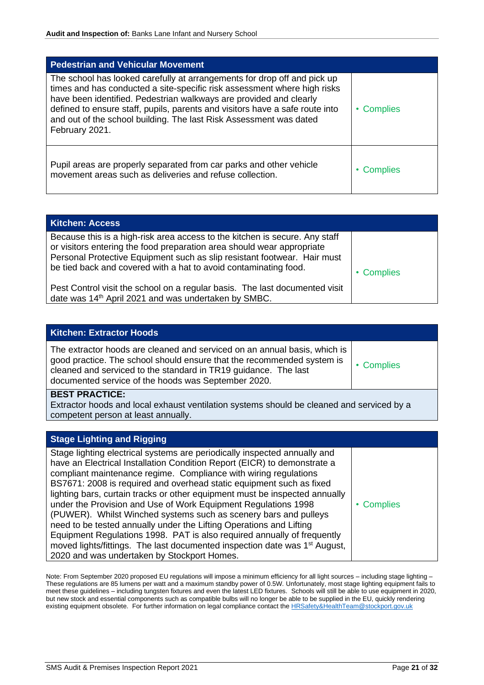<span id="page-21-0"></span>

| <b>Pedestrian and Vehicular Movement</b>                                                                                                                                                                                                                                                                                                                                                           |                 |
|----------------------------------------------------------------------------------------------------------------------------------------------------------------------------------------------------------------------------------------------------------------------------------------------------------------------------------------------------------------------------------------------------|-----------------|
| The school has looked carefully at arrangements for drop off and pick up<br>times and has conducted a site-specific risk assessment where high risks<br>have been identified. Pedestrian walkways are provided and clearly<br>defined to ensure staff, pupils, parents and visitors have a safe route into<br>and out of the school building. The last Risk Assessment was dated<br>February 2021. | <b>Complies</b> |
| Pupil areas are properly separated from car parks and other vehicle<br>movement areas such as deliveries and refuse collection.                                                                                                                                                                                                                                                                    | Complies        |

<span id="page-21-1"></span>

| <b>Kitchen: Access</b>                                                                                                                                                                                                                                                                                |            |
|-------------------------------------------------------------------------------------------------------------------------------------------------------------------------------------------------------------------------------------------------------------------------------------------------------|------------|
| Because this is a high-risk area access to the kitchen is secure. Any staff<br>or visitors entering the food preparation area should wear appropriate<br>Personal Protective Equipment such as slip resistant footwear. Hair must<br>be tied back and covered with a hat to avoid contaminating food. | • Complies |
| Pest Control visit the school on a regular basis. The last documented visit<br>date was 14th April 2021 and was undertaken by SMBC.                                                                                                                                                                   |            |

<span id="page-21-2"></span>

| <b>Kitchen: Extractor Hoods</b>                                                                                                                                                                                                                                               |            |
|-------------------------------------------------------------------------------------------------------------------------------------------------------------------------------------------------------------------------------------------------------------------------------|------------|
| The extractor hoods are cleaned and serviced on an annual basis, which is<br>good practice. The school should ensure that the recommended system is<br>cleaned and serviced to the standard in TR19 guidance. The last<br>documented service of the hoods was September 2020. | • Complies |
| <b>BEST PRACTICE:</b>                                                                                                                                                                                                                                                         |            |

Extractor hoods and local exhaust ventilation systems should be cleaned and serviced by a competent person at least annually.

<span id="page-21-3"></span>

| <b>Stage Lighting and Rigging</b>                                                                                                                                                                                                                                                                                                                                                                                                                                                                                                                                                                                                                                                                                                                                                                                 |            |
|-------------------------------------------------------------------------------------------------------------------------------------------------------------------------------------------------------------------------------------------------------------------------------------------------------------------------------------------------------------------------------------------------------------------------------------------------------------------------------------------------------------------------------------------------------------------------------------------------------------------------------------------------------------------------------------------------------------------------------------------------------------------------------------------------------------------|------------|
| Stage lighting electrical systems are periodically inspected annually and<br>have an Electrical Installation Condition Report (EICR) to demonstrate a<br>compliant maintenance regime. Compliance with wiring regulations<br>BS7671: 2008 is required and overhead static equipment such as fixed<br>lighting bars, curtain tracks or other equipment must be inspected annually<br>under the Provision and Use of Work Equipment Regulations 1998<br>(PUWER). Whilst Winched systems such as scenery bars and pulleys<br>need to be tested annually under the Lifting Operations and Lifting<br>Equipment Regulations 1998. PAT is also required annually of frequently<br>moved lights/fittings. The last documented inspection date was 1 <sup>st</sup> August,<br>2020 and was undertaken by Stockport Homes. | • Complies |

Note: From September 2020 proposed EU regulations will impose a minimum efficiency for all light sources – including stage lighting – These regulations are 85 lumens per watt and a maximum standby power of 0.5W. Unfortunately, most stage lighting equipment fails to meet these guidelines – including tungsten fixtures and even the latest LED fixtures. Schools will still be able to use equipment in 2020, but new stock and essential components such as compatible bulbs will no longer be able to be supplied in the EU, quickly rendering existing equipment obsolete. For further information on legal compliance contact the [HRSafety&HealthTeam@stockport.gov.uk](mailto:HRSafety&HealthTeam@stockport.gov.uk)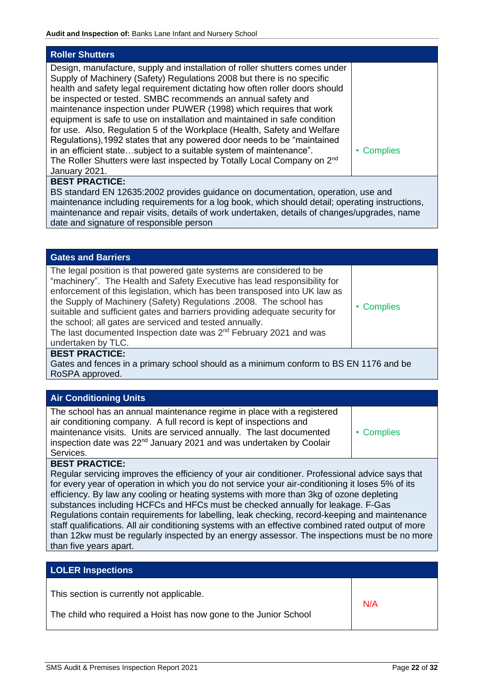<span id="page-22-0"></span>

| <b>Roller Shutters</b>                                                                                                                                                                                                                                                                                                                                                                                                                                                                                                                                                                                                                                                                                                                                                                        |            |
|-----------------------------------------------------------------------------------------------------------------------------------------------------------------------------------------------------------------------------------------------------------------------------------------------------------------------------------------------------------------------------------------------------------------------------------------------------------------------------------------------------------------------------------------------------------------------------------------------------------------------------------------------------------------------------------------------------------------------------------------------------------------------------------------------|------------|
| Design, manufacture, supply and installation of roller shutters comes under<br>Supply of Machinery (Safety) Regulations 2008 but there is no specific<br>health and safety legal requirement dictating how often roller doors should<br>be inspected or tested. SMBC recommends an annual safety and<br>maintenance inspection under PUWER (1998) which requires that work<br>equipment is safe to use on installation and maintained in safe condition<br>for use. Also, Regulation 5 of the Workplace (Health, Safety and Welfare<br>Regulations), 1992 states that any powered door needs to be "maintained"<br>in an efficient statesubject to a suitable system of maintenance".<br>The Roller Shutters were last inspected by Totally Local Company on 2 <sup>nd</sup><br>January 2021. | • Complies |
| <b>BEST PRACTICE:</b>                                                                                                                                                                                                                                                                                                                                                                                                                                                                                                                                                                                                                                                                                                                                                                         |            |
| BS standard EN 12635:2002 provides guidance on documentation, operation, use and                                                                                                                                                                                                                                                                                                                                                                                                                                                                                                                                                                                                                                                                                                              |            |
| maintenance including requirements for a log book, which should detail; operating instructions,<br>maintenance and repair visits, details of work undertaken, details of changes/upgrades, name                                                                                                                                                                                                                                                                                                                                                                                                                                                                                                                                                                                               |            |

date and signature of responsible person

<span id="page-22-1"></span>

| <b>Gates and Barriers</b>                                                                                                                                                                                                                                                                                                                                                                                                                                                                                                                           |            |
|-----------------------------------------------------------------------------------------------------------------------------------------------------------------------------------------------------------------------------------------------------------------------------------------------------------------------------------------------------------------------------------------------------------------------------------------------------------------------------------------------------------------------------------------------------|------------|
| The legal position is that powered gate systems are considered to be<br>"machinery". The Health and Safety Executive has lead responsibility for<br>enforcement of this legislation, which has been transposed into UK law as<br>the Supply of Machinery (Safety) Regulations .2008. The school has<br>suitable and sufficient gates and barriers providing adequate security for<br>the school; all gates are serviced and tested annually.<br>The last documented Inspection date was 2 <sup>nd</sup> February 2021 and was<br>undertaken by TLC. | • Complies |
| <b>BEST PRACTICE:</b>                                                                                                                                                                                                                                                                                                                                                                                                                                                                                                                               |            |

Gates and fences in a primary school should as a minimum conform to BS EN 1176 and be RoSPA approved.

## <span id="page-22-2"></span>**Air Conditioning Units**

| The school has an annual maintenance regime in place with a registered          |            |
|---------------------------------------------------------------------------------|------------|
| air conditioning company. A full record is kept of inspections and              |            |
| maintenance visits. Units are serviced annually. The last documented            | • Complies |
| inspection date was 22 <sup>nd</sup> January 2021 and was undertaken by Coolair |            |
| Services.                                                                       |            |

## **BEST PRACTICE:**

Regular servicing improves the efficiency of your air conditioner. Professional advice says that for every year of operation in which you do not service your air-conditioning it loses 5% of its efficiency. By law any cooling or heating systems with more than 3kg of ozone depleting substances including HCFCs and HFCs must be checked annually for leakage. F-Gas Regulations contain requirements for labelling, leak checking, record-keeping and maintenance staff qualifications. All air conditioning systems with an effective combined rated output of more than 12kw must be regularly inspected by an energy assessor. The inspections must be no more than five years apart.

<span id="page-22-3"></span>

| <b>LOLER Inspections</b>                                         |     |
|------------------------------------------------------------------|-----|
| This section is currently not applicable.                        | N/A |
| The child who required a Hoist has now gone to the Junior School |     |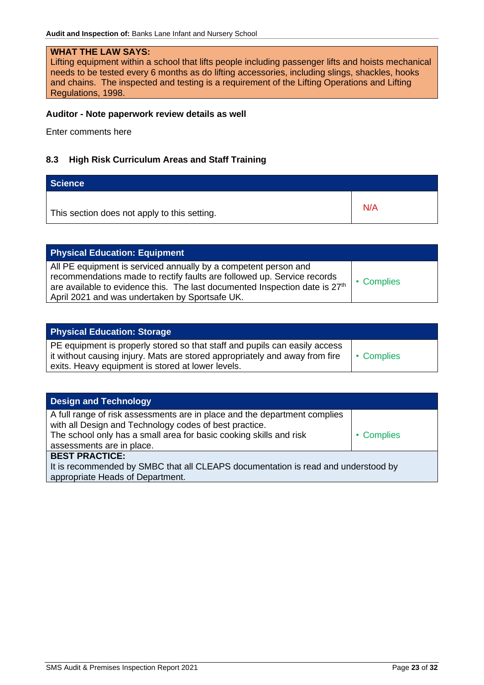# **WHAT THE LAW SAYS:**

Lifting equipment within a school that lifts people including passenger lifts and hoists mechanical needs to be tested every 6 months as do lifting accessories, including slings, shackles, hooks and chains. The inspected and testing is a requirement of the Lifting Operations and Lifting Regulations, 1998.

#### **Auditor - Note paperwork review details as well**

Enter comments here

# <span id="page-23-0"></span>**8.3 High Risk Curriculum Areas and Staff Training**

<span id="page-23-1"></span>

| Science                                      |     |
|----------------------------------------------|-----|
| This section does not apply to this setting. | N/A |

<span id="page-23-2"></span>

| <b>Physical Education: Equipment</b>                                                                                                                                                                                                                                                    |            |
|-----------------------------------------------------------------------------------------------------------------------------------------------------------------------------------------------------------------------------------------------------------------------------------------|------------|
| All PE equipment is serviced annually by a competent person and<br>recommendations made to rectify faults are followed up. Service records<br>are available to evidence this. The last documented Inspection date is 27 <sup>th</sup><br>April 2021 and was undertaken by Sportsafe UK. | • Complies |

<span id="page-23-3"></span>

| <b>Physical Education: Storage</b>                                                                                                                          |            |
|-------------------------------------------------------------------------------------------------------------------------------------------------------------|------------|
| PE equipment is properly stored so that staff and pupils can easily access<br>I it without causing injury. Mats are stored appropriately and away from fire | • Complies |
| exits. Heavy equipment is stored at lower levels.                                                                                                           |            |

<span id="page-23-4"></span>

| <b>Design and Technology</b>                                                                                                        |            |
|-------------------------------------------------------------------------------------------------------------------------------------|------------|
| A full range of risk assessments are in place and the department complies<br>with all Design and Technology codes of best practice. |            |
| The school only has a small area for basic cooking skills and risk                                                                  | • Complies |
| assessments are in place.                                                                                                           |            |
| <b>BEST PRACTICE:</b>                                                                                                               |            |
| It is recommended by SMBC that all CLEAPS documentation is read and understood by                                                   |            |
| appropriate Heads of Department.                                                                                                    |            |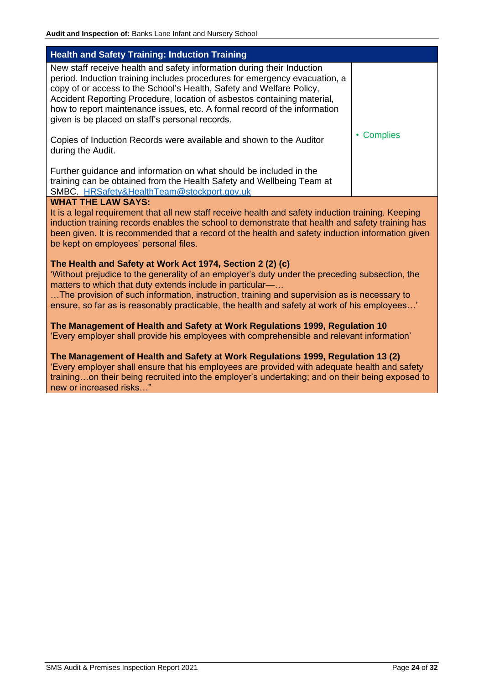<span id="page-24-0"></span>

| <b>Health and Safety Training: Induction Training</b>                                                                                                                                                                                                                                                                                                                                                                                   |            |  |
|-----------------------------------------------------------------------------------------------------------------------------------------------------------------------------------------------------------------------------------------------------------------------------------------------------------------------------------------------------------------------------------------------------------------------------------------|------------|--|
| New staff receive health and safety information during their Induction<br>period. Induction training includes procedures for emergency evacuation, a<br>copy of or access to the School's Health, Safety and Welfare Policy,<br>Accident Reporting Procedure, location of asbestos containing material,<br>how to report maintenance issues, etc. A formal record of the information<br>given is be placed on staff's personal records. |            |  |
| Copies of Induction Records were available and shown to the Auditor<br>during the Audit.                                                                                                                                                                                                                                                                                                                                                | • Complies |  |
| Further guidance and information on what should be included in the<br>training can be obtained from the Health Safety and Wellbeing Team at<br>SMBC. HRSafety&HealthTeam@stockport.gov.uk                                                                                                                                                                                                                                               |            |  |
| <b>WHAT THE LAW SAYS:</b><br>It is a legal requirement that all new staff receive health and safety induction training. Keeping<br>induction training records enables the school to demonstrate that health and safety training has<br>been given. It is recommended that a record of the health and safety induction information given<br>be kept on employees' personal files.                                                        |            |  |
| The Health and Safety at Work Act 1974, Section 2 (2) (c)<br>'Without prejudice to the generality of an employer's duty under the preceding subsection, the<br>matters to which that duty extends include in particular-<br>The provision of such information, instruction, training and supervision as is necessary to<br>ensure, so far as is reasonably practicable, the health and safety at work of his employees'                 |            |  |
| The Management of Health and Safety at Work Regulations 1999, Regulation 10<br>'Every employer shall provide his employees with comprehensible and relevant information'                                                                                                                                                                                                                                                                |            |  |
| The Management of Health and Safety at Work Regulations 1999, Regulation 13 (2)<br>'Every employer shall ensure that his employees are provided with adequate health and safety<br>trainingon their being recruited into the employer's undertaking; and on their being exposed to<br>new or increased risks"                                                                                                                           |            |  |
|                                                                                                                                                                                                                                                                                                                                                                                                                                         |            |  |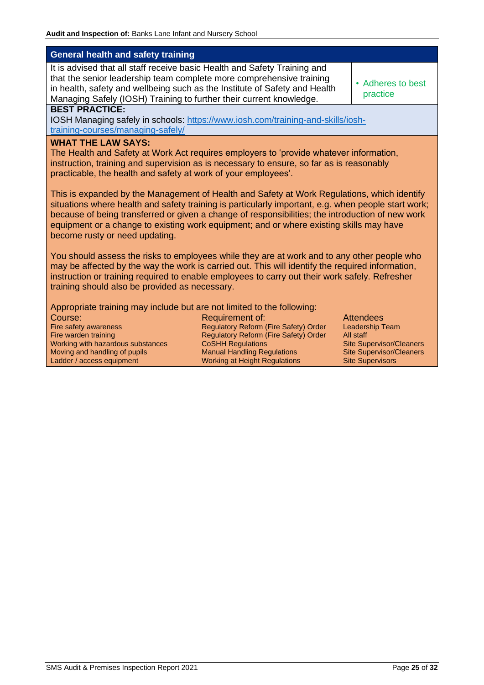<span id="page-25-0"></span>

| <b>General health and safety training</b>                                                                                                                                                                                                                                                                                                                                                                                                                                                                                                                                                                                                                                                                                |                                                                                                                                                                                                             |                                                                                                                                                   |  |
|--------------------------------------------------------------------------------------------------------------------------------------------------------------------------------------------------------------------------------------------------------------------------------------------------------------------------------------------------------------------------------------------------------------------------------------------------------------------------------------------------------------------------------------------------------------------------------------------------------------------------------------------------------------------------------------------------------------------------|-------------------------------------------------------------------------------------------------------------------------------------------------------------------------------------------------------------|---------------------------------------------------------------------------------------------------------------------------------------------------|--|
| It is advised that all staff receive basic Health and Safety Training and<br>that the senior leadership team complete more comprehensive training<br>in health, safety and wellbeing such as the Institute of Safety and Health<br>Managing Safely (IOSH) Training to further their current knowledge.                                                                                                                                                                                                                                                                                                                                                                                                                   |                                                                                                                                                                                                             | • Adheres to best<br>practice                                                                                                                     |  |
| <b>BEST PRACTICE:</b><br><b>IOSH Managing safely in schools: https://www.iosh.com/training-and-skills/iosh-</b><br>training-courses/managing-safely/                                                                                                                                                                                                                                                                                                                                                                                                                                                                                                                                                                     |                                                                                                                                                                                                             |                                                                                                                                                   |  |
| <b>WHAT THE LAW SAYS:</b><br>The Health and Safety at Work Act requires employers to 'provide whatever information,<br>instruction, training and supervision as is necessary to ensure, so far as is reasonably<br>practicable, the health and safety at work of your employees'.<br>This is expanded by the Management of Health and Safety at Work Regulations, which identify<br>situations where health and safety training is particularly important, e.g. when people start work;<br>because of being transferred or given a change of responsibilities; the introduction of new work<br>equipment or a change to existing work equipment; and or where existing skills may have<br>become rusty or need updating. |                                                                                                                                                                                                             |                                                                                                                                                   |  |
| You should assess the risks to employees while they are at work and to any other people who<br>may be affected by the way the work is carried out. This will identify the required information,<br>instruction or training required to enable employees to carry out their work safely. Refresher<br>training should also be provided as necessary.                                                                                                                                                                                                                                                                                                                                                                      |                                                                                                                                                                                                             |                                                                                                                                                   |  |
| Appropriate training may include but are not limited to the following:<br>Course:<br>Fire safety awareness<br>Fire warden training<br>Working with hazardous substances<br>Moving and handling of pupils<br>Ladder / access equipment                                                                                                                                                                                                                                                                                                                                                                                                                                                                                    | Requirement of:<br>Regulatory Reform (Fire Safety) Order<br>Regulatory Reform (Fire Safety) Order<br><b>CoSHH Regulations</b><br><b>Manual Handling Regulations</b><br><b>Working at Height Regulations</b> | <b>Attendees</b><br>Leadership Team<br>All staff<br><b>Site Supervisor/Cleaners</b><br><b>Site Supervisor/Cleaners</b><br><b>Site Supervisors</b> |  |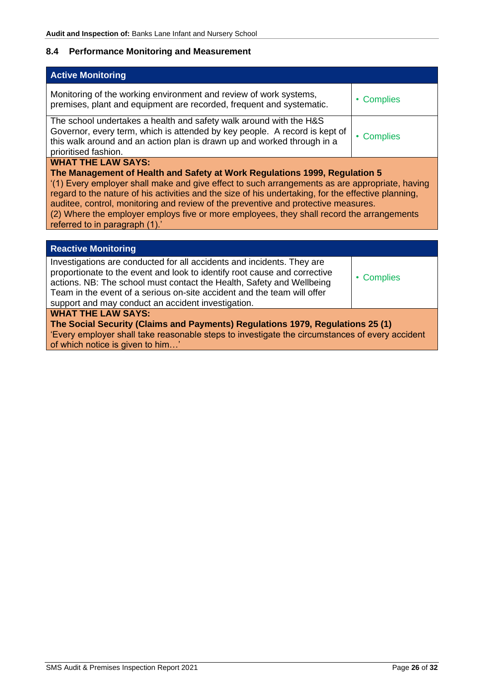# <span id="page-26-0"></span>**8.4 Performance Monitoring and Measurement**

<span id="page-26-1"></span>

| <b>Active Monitoring</b>                                                                                                                                                                                                                                                                                                                                                                                                                                                                                                              |                      |  |
|---------------------------------------------------------------------------------------------------------------------------------------------------------------------------------------------------------------------------------------------------------------------------------------------------------------------------------------------------------------------------------------------------------------------------------------------------------------------------------------------------------------------------------------|----------------------|--|
| Monitoring of the working environment and review of work systems,<br>premises, plant and equipment are recorded, frequent and systematic.                                                                                                                                                                                                                                                                                                                                                                                             | <b>Complies</b><br>٠ |  |
| The school undertakes a health and safety walk around with the H&S<br>Governor, every term, which is attended by key people. A record is kept of<br>this walk around and an action plan is drawn up and worked through in a<br>prioritised fashion.                                                                                                                                                                                                                                                                                   | • Complies           |  |
| <b>WHAT THE LAW SAYS:</b><br>The Management of Health and Safety at Work Regulations 1999, Regulation 5<br>'(1) Every employer shall make and give effect to such arrangements as are appropriate, having<br>regard to the nature of his activities and the size of his undertaking, for the effective planning,<br>auditee, control, monitoring and review of the preventive and protective measures.<br>(2) Where the employer employs five or more employees, they shall record the arrangements<br>referred to in paragraph (1).' |                      |  |
| <b>Reactive Monitoring</b>                                                                                                                                                                                                                                                                                                                                                                                                                                                                                                            |                      |  |
| Investigations are conducted for all accidents and incidents. They are<br>proportionate to the event and look to identify root cause and corrective<br>actions. NB: The school must contact the Health, Safety and Wellbeing<br>Team in the event of a serious on-site accident and the team will offer<br>support and may conduct an accident investigation.                                                                                                                                                                         | <b>Complies</b>      |  |
| <b>WHAT THE LAW SAYS:</b><br>The Social Security (Claims and Payments) Regulations 1979, Regulations 25 (1)<br>'Every employer shall take reasonable steps to investigate the circumstances of every accident                                                                                                                                                                                                                                                                                                                         |                      |  |

<span id="page-26-2"></span>of which notice is given to him…'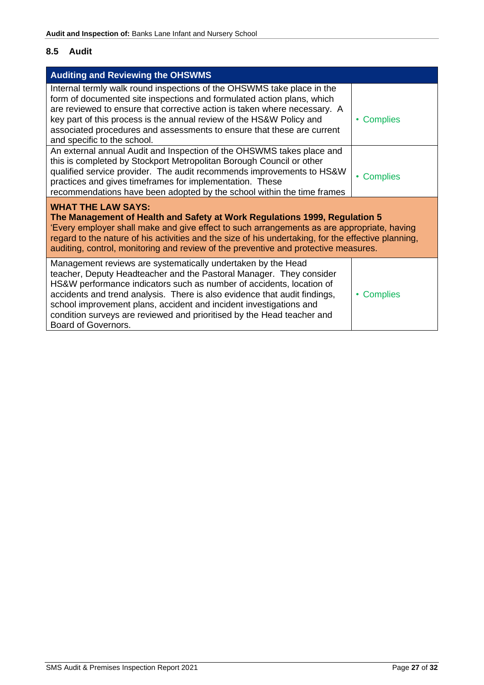# <span id="page-27-0"></span>**8.5 Audit**

<span id="page-27-1"></span>

| <b>Auditing and Reviewing the OHSWMS</b>                                                                                                                                                                                                                                                                                                                                                                                                                        |                      |  |
|-----------------------------------------------------------------------------------------------------------------------------------------------------------------------------------------------------------------------------------------------------------------------------------------------------------------------------------------------------------------------------------------------------------------------------------------------------------------|----------------------|--|
| Internal termly walk round inspections of the OHSWMS take place in the<br>form of documented site inspections and formulated action plans, which<br>are reviewed to ensure that corrective action is taken where necessary. A<br>key part of this process is the annual review of the HS&W Policy and<br>associated procedures and assessments to ensure that these are current<br>and specific to the school.                                                  | <b>Complies</b>      |  |
| An external annual Audit and Inspection of the OHSWMS takes place and<br>this is completed by Stockport Metropolitan Borough Council or other<br>qualified service provider. The audit recommends improvements to HS&W<br>practices and gives timeframes for implementation. These<br>recommendations have been adopted by the school within the time frames                                                                                                    | • Complies           |  |
| <b>WHAT THE LAW SAYS:</b><br>The Management of Health and Safety at Work Regulations 1999, Regulation 5<br>'Every employer shall make and give effect to such arrangements as are appropriate, having<br>regard to the nature of his activities and the size of his undertaking, for the effective planning,<br>auditing, control, monitoring and review of the preventive and protective measures.                                                             |                      |  |
| Management reviews are systematically undertaken by the Head<br>teacher, Deputy Headteacher and the Pastoral Manager. They consider<br>HS&W performance indicators such as number of accidents, location of<br>accidents and trend analysis. There is also evidence that audit findings,<br>school improvement plans, accident and incident investigations and<br>condition surveys are reviewed and prioritised by the Head teacher and<br>Board of Governors. | <b>Complies</b><br>٠ |  |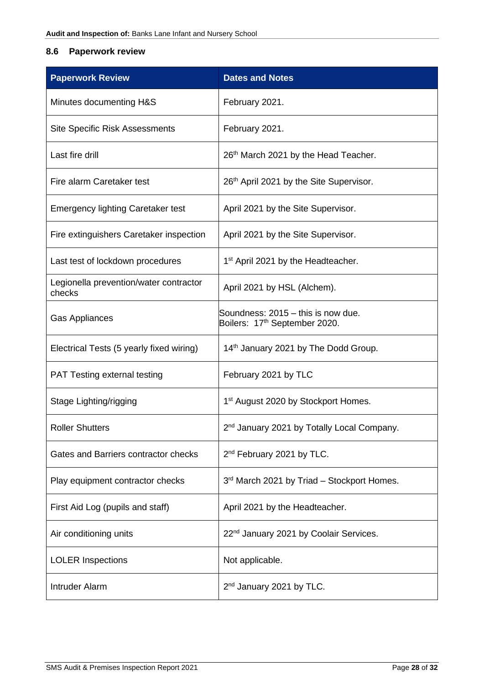# <span id="page-28-0"></span>**8.6 Paperwork review**

| <b>Paperwork Review</b>                          | <b>Dates and Notes</b>                                                          |
|--------------------------------------------------|---------------------------------------------------------------------------------|
| Minutes documenting H&S                          | February 2021.                                                                  |
| <b>Site Specific Risk Assessments</b>            | February 2021.                                                                  |
| Last fire drill                                  | 26th March 2021 by the Head Teacher.                                            |
| Fire alarm Caretaker test                        | 26 <sup>th</sup> April 2021 by the Site Supervisor.                             |
| <b>Emergency lighting Caretaker test</b>         | April 2021 by the Site Supervisor.                                              |
| Fire extinguishers Caretaker inspection          | April 2021 by the Site Supervisor.                                              |
| Last test of lockdown procedures                 | 1 <sup>st</sup> April 2021 by the Headteacher.                                  |
| Legionella prevention/water contractor<br>checks | April 2021 by HSL (Alchem).                                                     |
| <b>Gas Appliances</b>                            | Soundness: 2015 - this is now due.<br>Boilers: 17 <sup>th</sup> September 2020. |
| Electrical Tests (5 yearly fixed wiring)         | 14 <sup>th</sup> January 2021 by The Dodd Group.                                |
| <b>PAT Testing external testing</b>              | February 2021 by TLC                                                            |
| Stage Lighting/rigging                           | 1 <sup>st</sup> August 2020 by Stockport Homes.                                 |
| <b>Roller Shutters</b>                           | 2 <sup>nd</sup> January 2021 by Totally Local Company.                          |
| Gates and Barriers contractor checks             | 2 <sup>nd</sup> February 2021 by TLC.                                           |
| Play equipment contractor checks                 | 3rd March 2021 by Triad - Stockport Homes.                                      |
| First Aid Log (pupils and staff)                 | April 2021 by the Headteacher.                                                  |
| Air conditioning units                           | 22 <sup>nd</sup> January 2021 by Coolair Services.                              |
| <b>LOLER Inspections</b>                         | Not applicable.                                                                 |
| Intruder Alarm                                   | 2 <sup>nd</sup> January 2021 by TLC.                                            |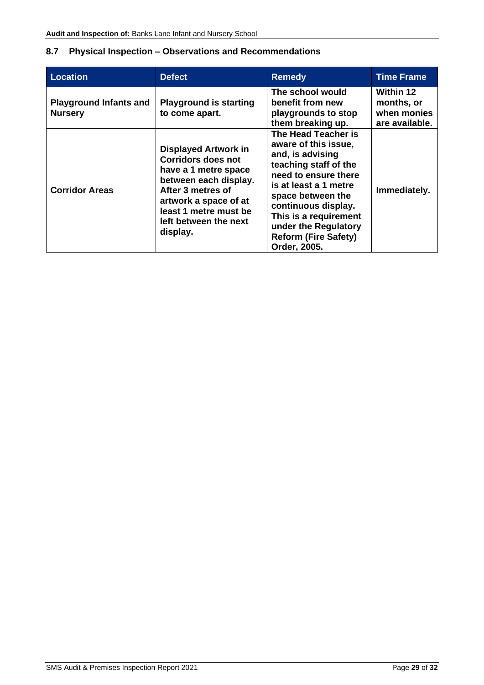# <span id="page-29-0"></span>**8.7 Physical Inspection – Observations and Recommendations**

| <b>Location</b>                                 | <b>Defect</b>                                                                                                                                                                                                         | <b>Remedy</b>                                                                                                                                                                                                                                                                         | <b>Time Frame</b>                                        |
|-------------------------------------------------|-----------------------------------------------------------------------------------------------------------------------------------------------------------------------------------------------------------------------|---------------------------------------------------------------------------------------------------------------------------------------------------------------------------------------------------------------------------------------------------------------------------------------|----------------------------------------------------------|
| <b>Playground Infants and</b><br><b>Nursery</b> | <b>Playground is starting</b><br>to come apart.                                                                                                                                                                       | The school would<br>benefit from new<br>playgrounds to stop<br>them breaking up.                                                                                                                                                                                                      | Within 12<br>months, or<br>when monies<br>are available. |
| <b>Corridor Areas</b>                           | <b>Displayed Artwork in</b><br><b>Corridors does not</b><br>have a 1 metre space<br>between each display.<br>After 3 metres of<br>artwork a space of at<br>least 1 metre must be<br>left between the next<br>display. | The Head Teacher is<br>aware of this issue.<br>and, is advising<br>teaching staff of the<br>need to ensure there<br>is at least a 1 metre<br>space between the<br>continuous display.<br>This is a requirement<br>under the Regulatory<br><b>Reform (Fire Safety)</b><br>Order, 2005. | Immediately.                                             |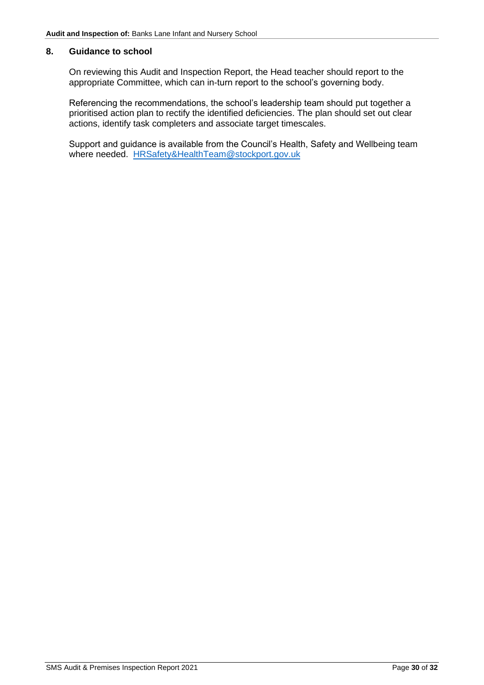#### <span id="page-30-0"></span>**8. Guidance to school**

On reviewing this Audit and Inspection Report, the Head teacher should report to the appropriate Committee, which can in-turn report to the school's governing body.

Referencing the recommendations, the school's leadership team should put together a prioritised action plan to rectify the identified deficiencies. The plan should set out clear actions, identify task completers and associate target timescales.

Support and guidance is available from the Council's Health, Safety and Wellbeing team where needed. [HRSafety&HealthTeam@stockport.gov.uk](mailto:HRSafety&HealthTeam@stockport.gov.uk)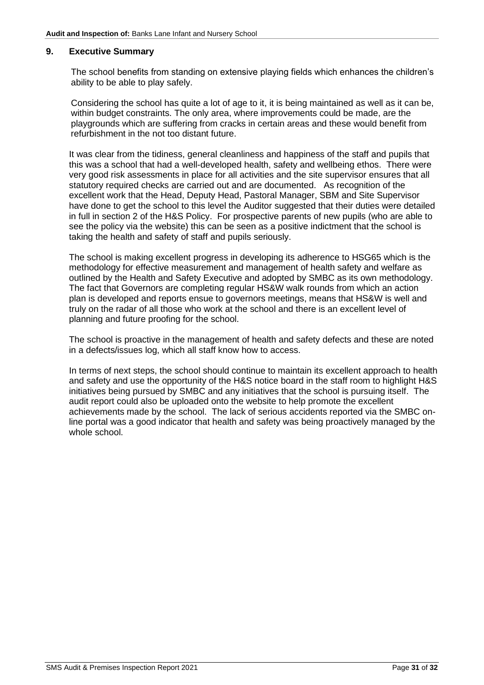#### <span id="page-31-0"></span>**9. Executive Summary**

 The school benefits from standing on extensive playing fields which enhances the children's ability to be able to play safely.

 Considering the school has quite a lot of age to it, it is being maintained as well as it can be, within budget constraints. The only area, where improvements could be made, are the playgrounds which are suffering from cracks in certain areas and these would benefit from refurbishment in the not too distant future.

It was clear from the tidiness, general cleanliness and happiness of the staff and pupils that this was a school that had a well-developed health, safety and wellbeing ethos. There were very good risk assessments in place for all activities and the site supervisor ensures that all statutory required checks are carried out and are documented. As recognition of the excellent work that the Head, Deputy Head, Pastoral Manager, SBM and Site Supervisor have done to get the school to this level the Auditor suggested that their duties were detailed in full in section 2 of the H&S Policy. For prospective parents of new pupils (who are able to see the policy via the website) this can be seen as a positive indictment that the school is taking the health and safety of staff and pupils seriously.

The school is making excellent progress in developing its adherence to HSG65 which is the methodology for effective measurement and management of health safety and welfare as outlined by the Health and Safety Executive and adopted by SMBC as its own methodology. The fact that Governors are completing regular HS&W walk rounds from which an action plan is developed and reports ensue to governors meetings, means that HS&W is well and truly on the radar of all those who work at the school and there is an excellent level of planning and future proofing for the school.

The school is proactive in the management of health and safety defects and these are noted in a defects/issues log, which all staff know how to access.

In terms of next steps, the school should continue to maintain its excellent approach to health and safety and use the opportunity of the H&S notice board in the staff room to highlight H&S initiatives being pursued by SMBC and any initiatives that the school is pursuing itself. The audit report could also be uploaded onto the website to help promote the excellent achievements made by the school. The lack of serious accidents reported via the SMBC online portal was a good indicator that health and safety was being proactively managed by the whole school.